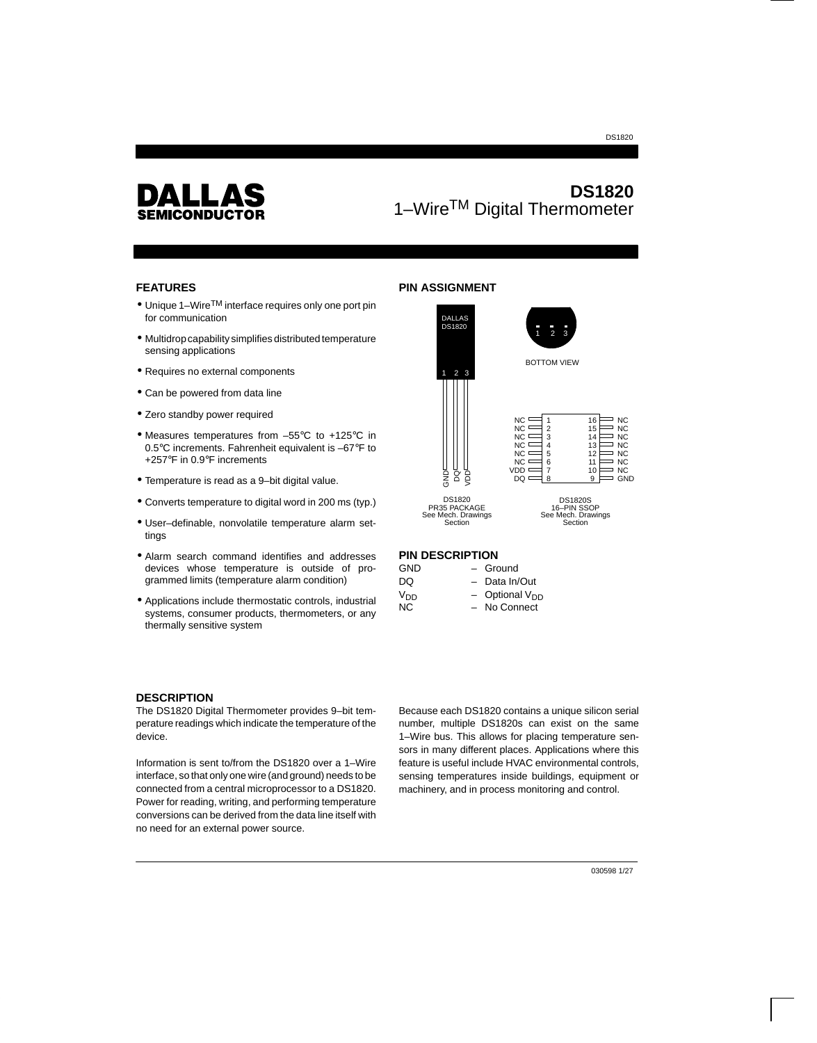#### DS1820



# **DS1820** 1–WireTM Digital Thermometer

## **FEATURES**

- Unique 1–Wire<sup>TM</sup> interface requires only one port pin for communication
- Multidrop capability simplifies distributed temperature sensing applications
- Requires no external components
- Can be powered from data line
- Zero standby power required
- Measures temperatures from –55°C to +125°C in 0.5°C increments. Fahrenheit equivalent is –67°F to +257°F in 0.9°F increments
- Temperature is read as a 9–bit digital value.
- Converts temperature to digital word in 200 ms (typ.)
- User–definable, nonvolatile temperature alarm settings
- Alarm search command identifies and addresses devices whose temperature is outside of programmed limits (temperature alarm condition)
- Applications include thermostatic controls, industrial systems, consumer products, thermometers, or any thermally sensitive system

## **PIN ASSIGNMENT**



#### **PIN DESCRIPTION**

| GND             | - Ground                   |
|-----------------|----------------------------|
| DQ              | - Data In/Out              |
| V <sub>DD</sub> | - Optional V <sub>DD</sub> |
| NC.             | - No Connect               |

#### **DESCRIPTION**

The DS1820 Digital Thermometer provides 9–bit temperature readings which indicate the temperature of the device.

Information is sent to/from the DS1820 over a 1–Wire interface, so that only one wire (and ground) needs to be connected from a central microprocessor to a DS1820. Power for reading, writing, and performing temperature conversions can be derived from the data line itself with no need for an external power source.

Because each DS1820 contains a unique silicon serial number, multiple DS1820s can exist on the same 1–Wire bus. This allows for placing temperature sensors in many different places. Applications where this feature is useful include HVAC environmental controls, sensing temperatures inside buildings, equipment or machinery, and in process monitoring and control.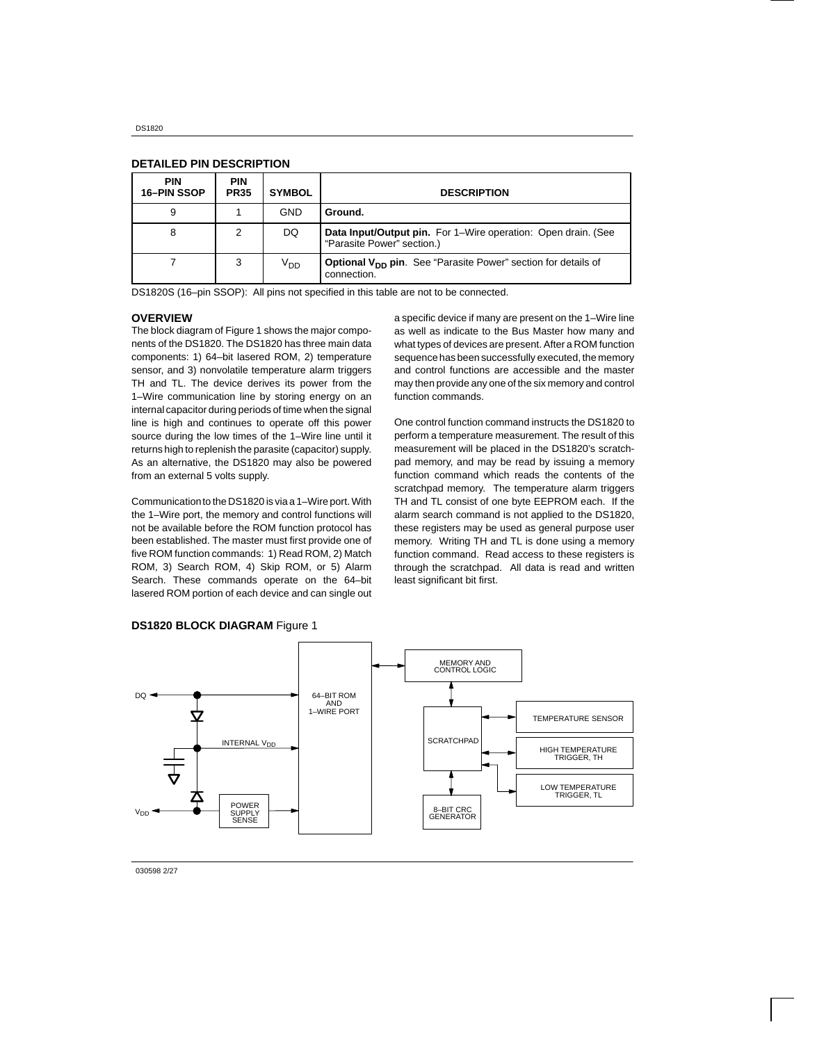| <b>PIN</b><br>16-PIN SSOP | <b>PIN</b><br><b>PR35</b> | <b>SYMBOL</b>   | <b>DESCRIPTION</b>                                                                             |
|---------------------------|---------------------------|-----------------|------------------------------------------------------------------------------------------------|
| 9                         |                           | GND             | Ground.                                                                                        |
| 8                         | 2                         | DQ              | Data Input/Output pin. For 1–Wire operation: Open drain. (See<br>"Parasite Power" section.)    |
|                           | 3                         | V <sub>DD</sub> | <b>Optional V<sub>DD</sub> pin.</b> See "Parasite Power" section for details of<br>connection. |

#### **DETAILED PIN DESCRIPTION**

DS1820S (16–pin SSOP): All pins not specified in this table are not to be connected.

#### **OVERVIEW**

The block diagram of Figure 1 shows the major components of the DS1820. The DS1820 has three main data components: 1) 64–bit lasered ROM, 2) temperature sensor, and 3) nonvolatile temperature alarm triggers TH and TL. The device derives its power from the 1–Wire communication line by storing energy on an internal capacitor during periods of time when the signal line is high and continues to operate off this power source during the low times of the 1–Wire line until it returns high to replenish the parasite (capacitor) supply. As an alternative, the DS1820 may also be powered from an external 5 volts supply.

Communication to the DS1820 is via a 1–Wire port. With the 1–Wire port, the memory and control functions will not be available before the ROM function protocol has been established. The master must first provide one of five ROM function commands: 1) Read ROM, 2) Match ROM, 3) Search ROM, 4) Skip ROM, or 5) Alarm Search. These commands operate on the 64–bit lasered ROM portion of each device and can single out a specific device if many are present on the 1–Wire line as well as indicate to the Bus Master how many and what types of devices are present. After a ROM function sequence has been successfully executed, the memory and control functions are accessible and the master may then provide any one of the six memory and control function commands.

One control function command instructs the DS1820 to perform a temperature measurement. The result of this measurement will be placed in the DS1820's scratchpad memory, and may be read by issuing a memory function command which reads the contents of the scratchpad memory. The temperature alarm triggers TH and TL consist of one byte EEPROM each. If the alarm search command is not applied to the DS1820, these registers may be used as general purpose user memory. Writing TH and TL is done using a memory function command. Read access to these registers is through the scratchpad. All data is read and written least significant bit first.



**DS1820 BLOCK DIAGRAM** Figure 1

030598 2/27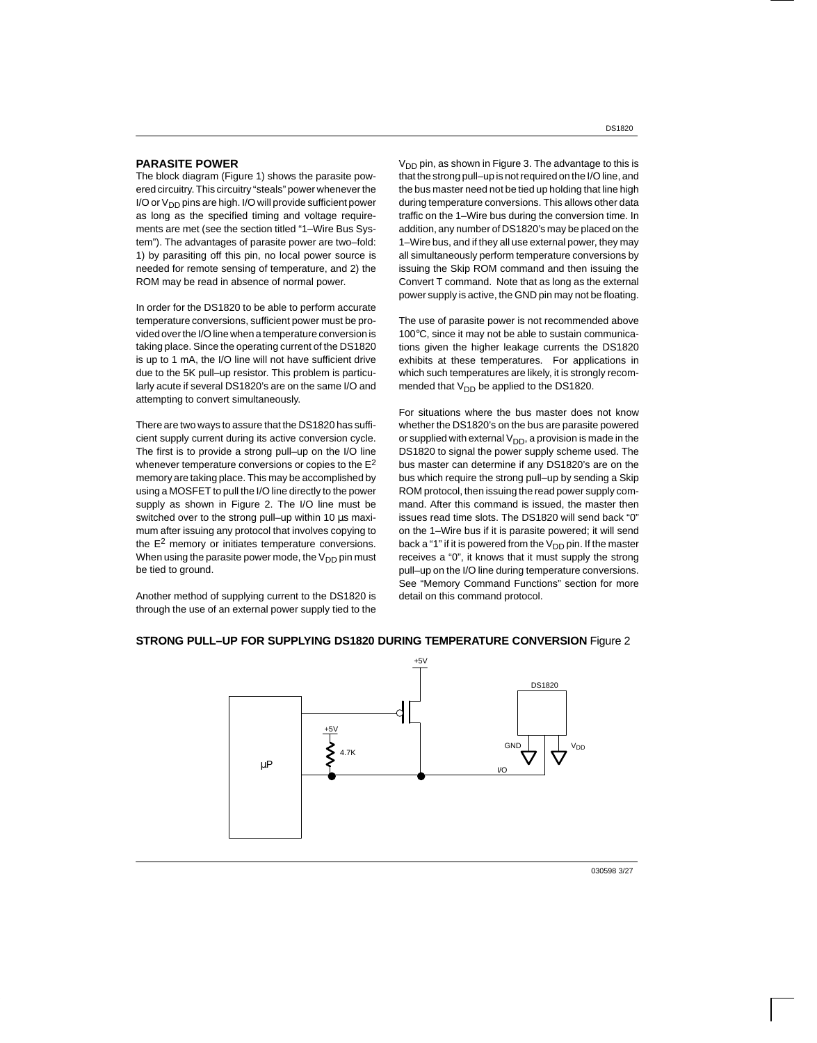#### **PARASITE POWER**

The block diagram (Figure 1) shows the parasite powered circuitry. This circuitry "steals" power whenever the I/O or  $V_{DD}$  pins are high. I/O will provide sufficient power as long as the specified timing and voltage requirements are met (see the section titled "1–Wire Bus System"). The advantages of parasite power are two–fold: 1) by parasiting off this pin, no local power source is needed for remote sensing of temperature, and 2) the ROM may be read in absence of normal power.

In order for the DS1820 to be able to perform accurate temperature conversions, sufficient power must be provided over the I/O line when a temperature conversion is taking place. Since the operating current of the DS1820 is up to 1 mA, the I/O line will not have sufficient drive due to the 5K pull–up resistor. This problem is particularly acute if several DS1820's are on the same I/O and attempting to convert simultaneously.

There are two ways to assure that the DS1820 has sufficient supply current during its active conversion cycle. The first is to provide a strong pull–up on the I/O line whenever temperature conversions or copies to the  $E^2$ memory are taking place. This may be accomplished by using a MOSFET to pull the I/O line directly to the power supply as shown in Figure 2. The I/O line must be switched over to the strong pull-up within 10 us maximum after issuing any protocol that involves copying to the E2 memory or initiates temperature conversions. When using the parasite power mode, the  $V_{DD}$  pin must be tied to ground.

Another method of supplying current to the DS1820 is through the use of an external power supply tied to the

 $V<sub>DD</sub>$  pin, as shown in Figure 3. The advantage to this is that the strong pull–up is not required on the I/O line, and the bus master need not be tied up holding that line high during temperature conversions. This allows other data traffic on the 1–Wire bus during the conversion time. In addition, any number of DS1820's may be placed on the 1–Wire bus, and if they all use external power, they may all simultaneously perform temperature conversions by issuing the Skip ROM command and then issuing the Convert T command. Note that as long as the external power supply is active, the GND pin may not be floating.

The use of parasite power is not recommended above 100°C, since it may not be able to sustain communications given the higher leakage currents the DS1820 exhibits at these temperatures. For applications in which such temperatures are likely, it is strongly recommended that  $V_{DD}$  be applied to the DS1820.

For situations where the bus master does not know whether the DS1820's on the bus are parasite powered or supplied with external  $V_{DD}$ , a provision is made in the DS1820 to signal the power supply scheme used. The bus master can determine if any DS1820's are on the bus which require the strong pull–up by sending a Skip ROM protocol, then issuing the read power supply command. After this command is issued, the master then issues read time slots. The DS1820 will send back "0" on the 1–Wire bus if it is parasite powered; it will send back a "1" if it is powered from the  $V_{DD}$  pin. If the master receives a "0", it knows that it must supply the strong pull–up on the I/O line during temperature conversions. See "Memory Command Functions" section for more detail on this command protocol.



## **STRONG PULL–UP FOR SUPPLYING DS1820 DURING TEMPERATURE CONVERSION** Figure 2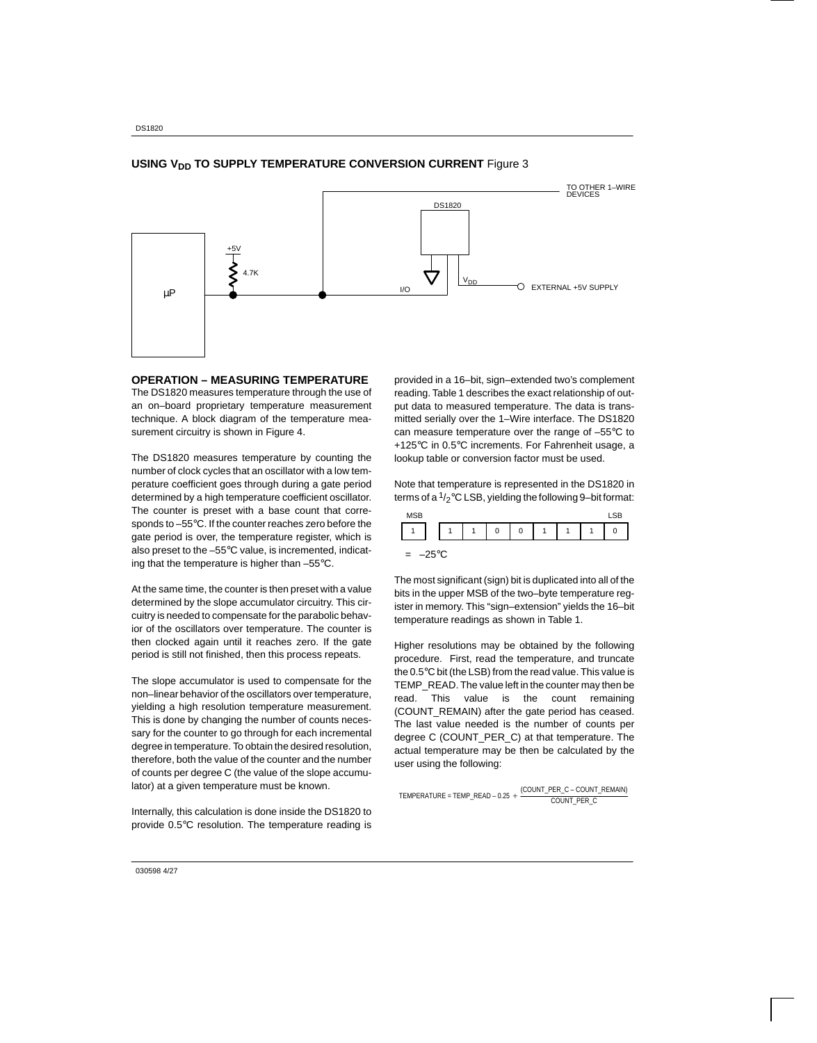

## **USING V<sub>DD</sub> TO SUPPLY TEMPERATURE CONVERSION CURRENT** Figure 3

#### **OPERATION – MEASURING TEMPERATURE**

The DS1820 measures temperature through the use of an on–board proprietary temperature measurement technique. A block diagram of the temperature measurement circuitry is shown in Figure 4.

The DS1820 measures temperature by counting the number of clock cycles that an oscillator with a low temperature coefficient goes through during a gate period determined by a high temperature coefficient oscillator. The counter is preset with a base count that corresponds to –55°C. If the counter reaches zero before the gate period is over, the temperature register, which is also preset to the –55°C value, is incremented, indicating that the temperature is higher than –55°C.

At the same time, the counter is then preset with a value determined by the slope accumulator circuitry. This circuitry is needed to compensate for the parabolic behavior of the oscillators over temperature. The counter is then clocked again until it reaches zero. If the gate period is still not finished, then this process repeats.

The slope accumulator is used to compensate for the non–linear behavior of the oscillators over temperature, yielding a high resolution temperature measurement. This is done by changing the number of counts necessary for the counter to go through for each incremental degree in temperature. To obtain the desired resolution, therefore, both the value of the counter and the number of counts per degree C (the value of the slope accumulator) at a given temperature must be known.

Internally, this calculation is done inside the DS1820 to provide 0.5°C resolution. The temperature reading is

provided in a 16–bit, sign–extended two's complement reading. Table 1 describes the exact relationship of output data to measured temperature. The data is transmitted serially over the 1–Wire interface. The DS1820 can measure temperature over the range of –55°C to +125°C in 0.5°C increments. For Fahrenheit usage, a lookup table or conversion factor must be used.

Note that temperature is represented in the DS1820 in terms of a  $1/2$ °C LSB, yielding the following 9-bit format:

| MCD |  |   |        |   |   |   |   |
|-----|--|---|--------|---|---|---|---|
|     |  | ٠ | ÷<br>⊾ | 0 | A | ٠ | C |
| --  |  |   |        |   |   |   |   |

 $= -25$ °C

The most significant (sign) bit is duplicated into all of the bits in the upper MSB of the two–byte temperature register in memory. This "sign–extension" yields the 16–bit temperature readings as shown in Table 1.

Higher resolutions may be obtained by the following procedure. First, read the temperature, and truncate the 0.5°C bit (the LSB) from the read value. This value is TEMP READ. The value left in the counter may then be read. This value is the count remaining (COUNT\_REMAIN) after the gate period has ceased. The last value needed is the number of counts per degree C (COUNT\_PER\_C) at that temperature. The actual temperature may be then be calculated by the user using the following:

TEMPERATURE = TEMP\_READ – 0.25 (COUNT\_PER\_C – COUNT\_REMAIN) COUNT\_PER\_C

030598 4/27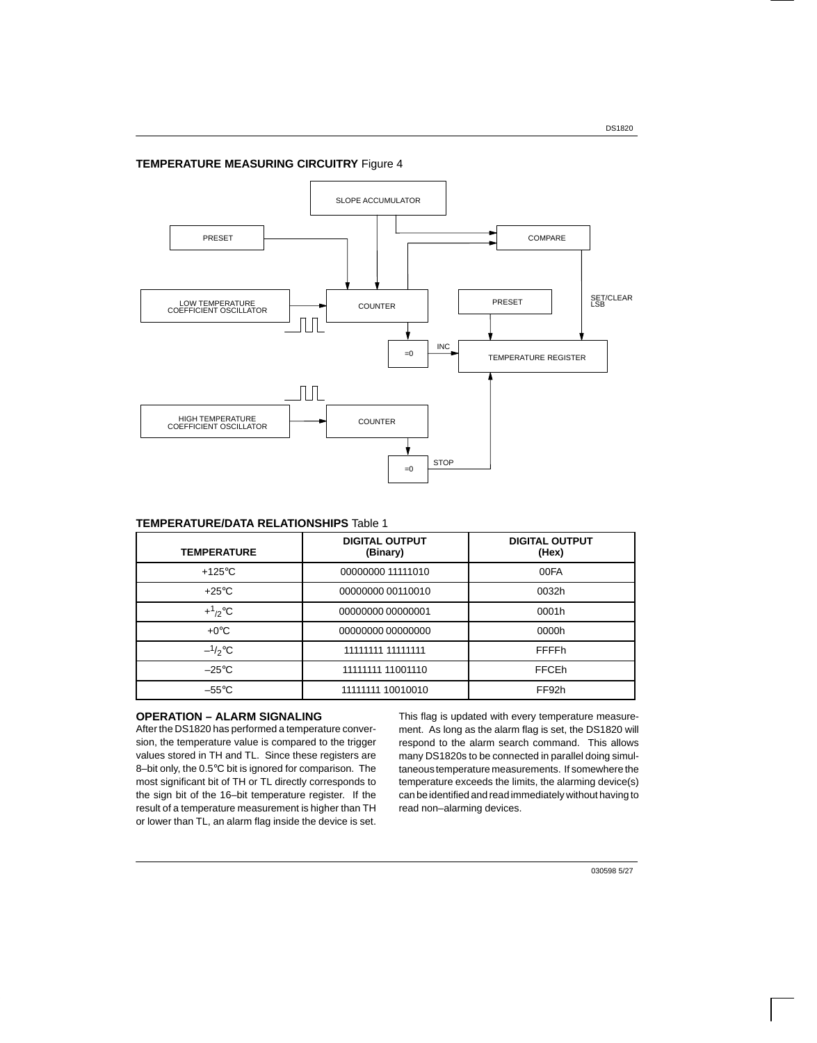## **TEMPERATURE MEASURING CIRCUITRY** Figure 4



## **TEMPERATURE/DATA RELATIONSHIPS** Table 1

| <b>TEMPERATURE</b> | <b>DIGITAL OUTPUT</b><br>(Binary) | <b>DIGITAL OUTPUT</b><br>(Hex) |
|--------------------|-----------------------------------|--------------------------------|
| $+125^{\circ}$ C   | 00000000 11111010                 | 00FA                           |
| $+25^{\circ}$ C    | 00000000 00110010                 | 0032h                          |
| $+ \frac{1}{2}$ °C | 00000000 00000001                 | 0001h                          |
| $+0^{\circ}$ C     | 00000000 00000000                 | 0000h                          |
| $-1/2$ °C          | 11111111 11111111                 | FFFFh                          |
| $-25^{\circ}$ C    | 11111111 11001110                 | <b>FFCEh</b>                   |
| $-55^{\circ}$ C    | 11111111 10010010                 | FF92h                          |

## **OPERATION – ALARM SIGNALING**

After the DS1820 has performed a temperature conversion, the temperature value is compared to the trigger values stored in TH and TL. Since these registers are 8–bit only, the 0.5°C bit is ignored for comparison. The most significant bit of TH or TL directly corresponds to the sign bit of the 16–bit temperature register. If the result of a temperature measurement is higher than TH or lower than TL, an alarm flag inside the device is set.

This flag is updated with every temperature measurement. As long as the alarm flag is set, the DS1820 will respond to the alarm search command. This allows many DS1820s to be connected in parallel doing simultaneous temperature measurements. If somewhere the temperature exceeds the limits, the alarming device(s) can be identified and read immediately without having to read non–alarming devices.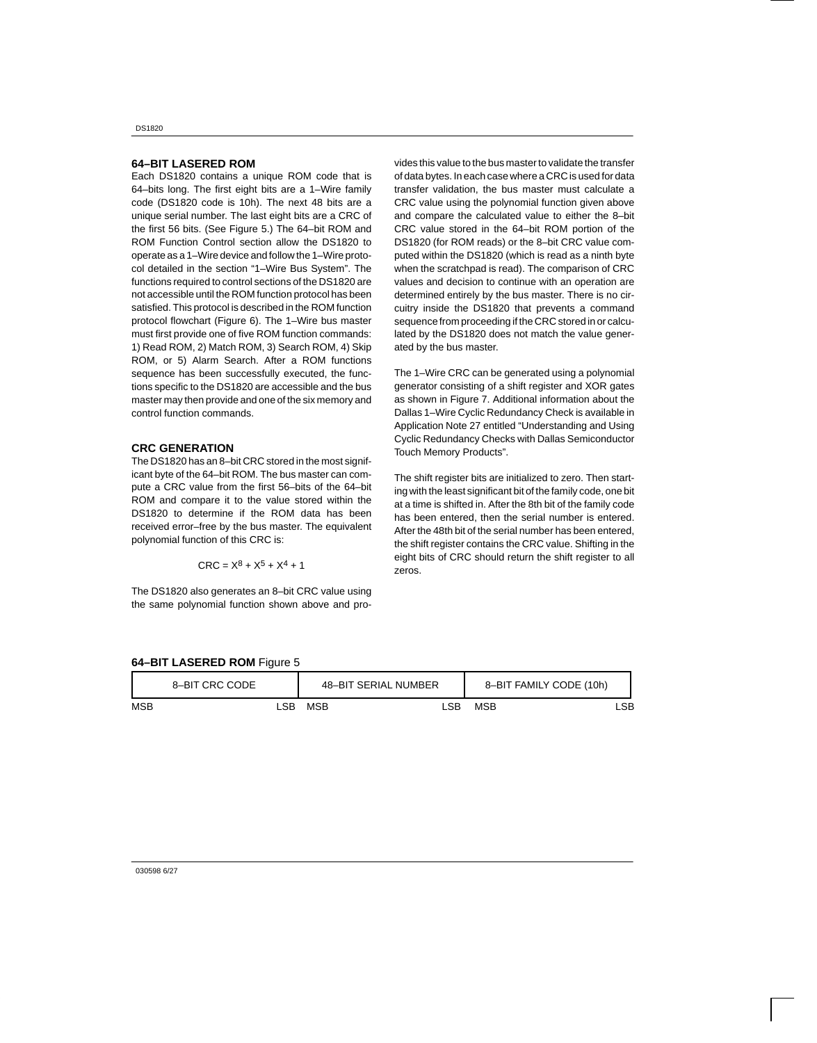#### **64–BIT LASERED ROM**

Each DS1820 contains a unique ROM code that is 64–bits long. The first eight bits are a 1–Wire family code (DS1820 code is 10h). The next 48 bits are a unique serial number. The last eight bits are a CRC of the first 56 bits. (See Figure 5.) The 64–bit ROM and ROM Function Control section allow the DS1820 to operate as a 1–Wire device and follow the 1–Wire protocol detailed in the section "1–Wire Bus System". The functions required to control sections of the DS1820 are not accessible until the ROM function protocol has been satisfied. This protocol is described in the ROM function protocol flowchart (Figure 6). The 1–Wire bus master must first provide one of five ROM function commands: 1) Read ROM, 2) Match ROM, 3) Search ROM, 4) Skip ROM, or 5) Alarm Search. After a ROM functions sequence has been successfully executed, the functions specific to the DS1820 are accessible and the bus master may then provide and one of the six memory and control function commands.

#### **CRC GENERATION**

The DS1820 has an 8–bit CRC stored in the most significant byte of the 64–bit ROM. The bus master can compute a CRC value from the first 56–bits of the 64–bit ROM and compare it to the value stored within the DS1820 to determine if the ROM data has been received error–free by the bus master. The equivalent polynomial function of this CRC is:

$$
CRC = X^8 + X^5 + X^4 + 1
$$

The DS1820 also generates an 8–bit CRC value using the same polynomial function shown above and pro-

vides this value to the bus master to validate the transfer of data bytes. In each case where a CRC is used for data transfer validation, the bus master must calculate a CRC value using the polynomial function given above and compare the calculated value to either the 8–bit CRC value stored in the 64–bit ROM portion of the DS1820 (for ROM reads) or the 8–bit CRC value computed within the DS1820 (which is read as a ninth byte when the scratchpad is read). The comparison of CRC values and decision to continue with an operation are determined entirely by the bus master. There is no circuitry inside the DS1820 that prevents a command sequence from proceeding if the CRC stored in or calculated by the DS1820 does not match the value generated by the bus master.

The 1–Wire CRC can be generated using a polynomial generator consisting of a shift register and XOR gates as shown in Figure 7. Additional information about the Dallas 1–Wire Cyclic Redundancy Check is available in Application Note 27 entitled "Understanding and Using Cyclic Redundancy Checks with Dallas Semiconductor Touch Memory Products".

The shift register bits are initialized to zero. Then starting with the least significant bit of the family code, one bit at a time is shifted in. After the 8th bit of the family code has been entered, then the serial number is entered. After the 48th bit of the serial number has been entered, the shift register contains the CRC value. Shifting in the eight bits of CRC should return the shift register to all zeros.

|  |  | 64-BIT LASERED ROM Figure 5 |  |  |
|--|--|-----------------------------|--|--|
|--|--|-----------------------------|--|--|

|     | 8-BIT CRC CODE |     |     | 48-BIT SERIAL NUMBER | 8-BIT FAMILY CODE (10h) |     |
|-----|----------------|-----|-----|----------------------|-------------------------|-----|
| MSB |                | LSB | MSB | LSB                  | <b>MSB</b>              | LSB |

030598 6/27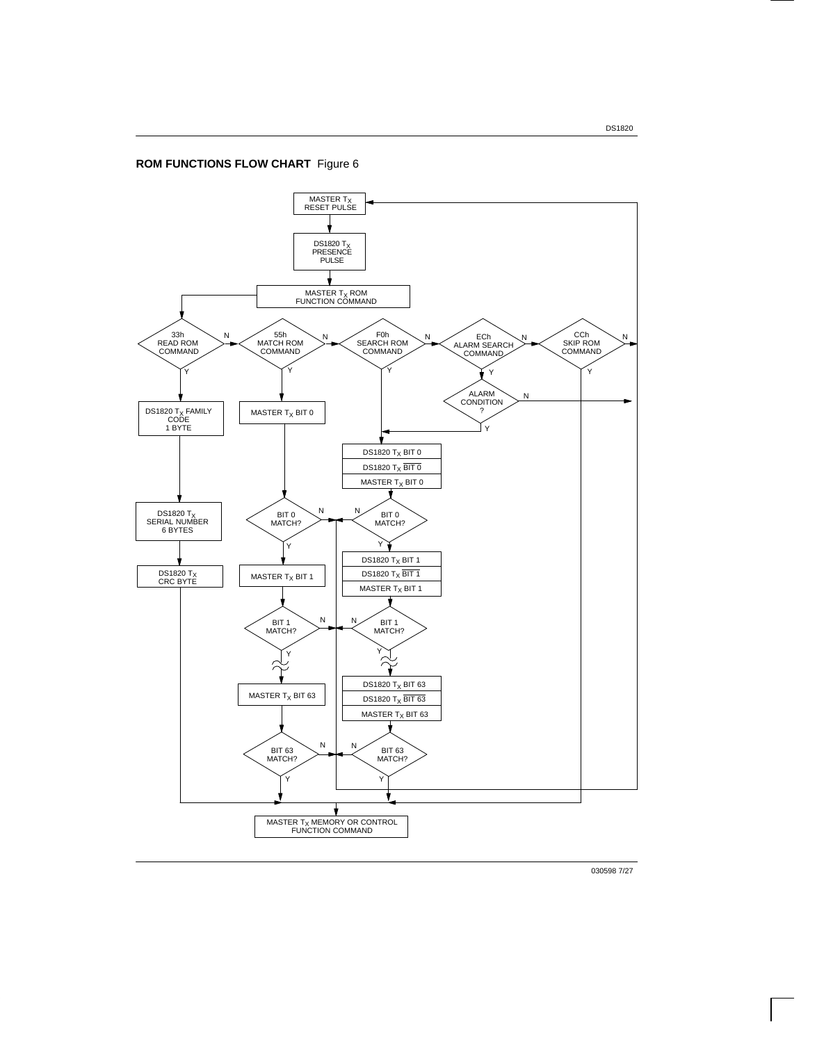## **ROM FUNCTIONS FLOW CHART** Figure 6



030598 7/27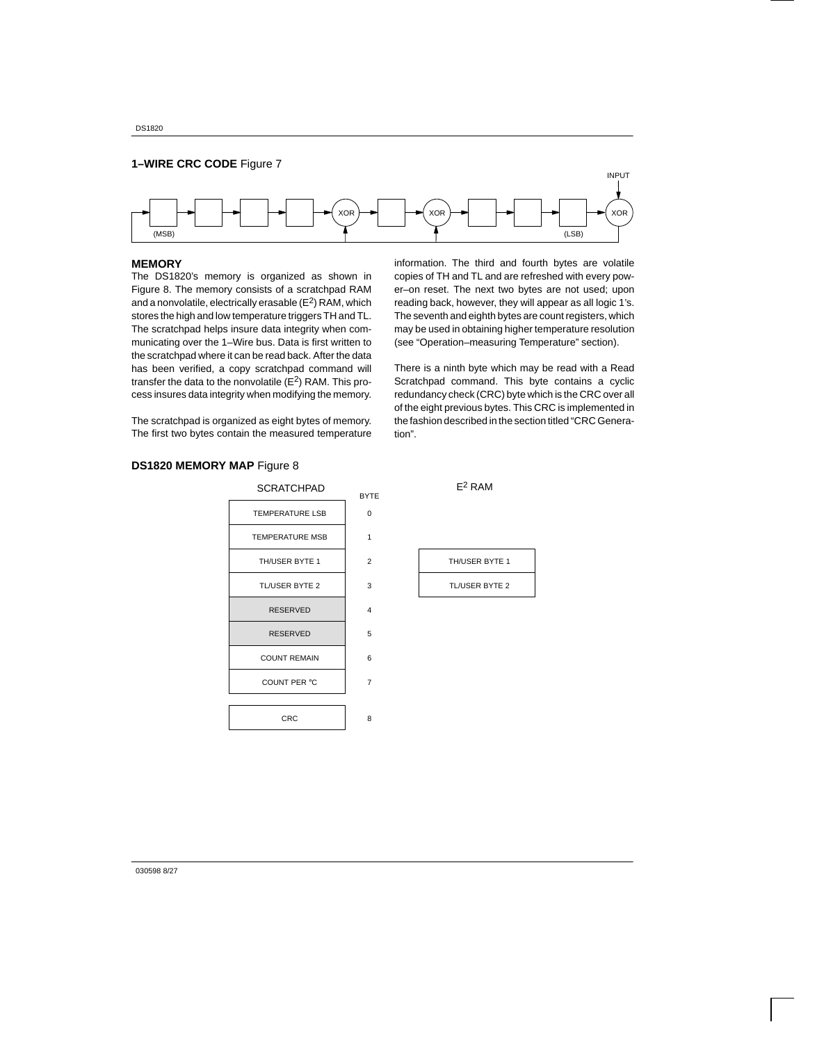

#### **MEMORY**

The DS1820's memory is organized as shown in Figure 8. The memory consists of a scratchpad RAM and a nonvolatile, electrically erasable  $(E^2)$  RAM, which stores the high and low temperature triggers TH and TL. The scratchpad helps insure data integrity when communicating over the 1–Wire bus. Data is first written to the scratchpad where it can be read back. After the data has been verified, a copy scratchpad command will transfer the data to the nonvolatile  $(E^2)$  RAM. This process insures data integrity when modifying the memory.

information. The third and fourth bytes are volatile copies of TH and TL and are refreshed with every power–on reset. The next two bytes are not used; upon reading back, however, they will appear as all logic 1's. The seventh and eighth bytes are count registers, which may be used in obtaining higher temperature resolution (see "Operation–measuring Temperature" section).

There is a ninth byte which may be read with a Read Scratchpad command. This byte contains a cyclic redundancy check (CRC) byte which is the CRC over all of the eight previous bytes. This CRC is implemented in the fashion described in the section titled "CRC Generation".

The scratchpad is organized as eight bytes of memory. The first two bytes contain the measured temperature

## **DS1820 MEMORY MAP** Figure 8

| <b>SCRATCHPAD</b>      | <b>BYTE</b>    |
|------------------------|----------------|
| <b>TEMPERATURE LSB</b> | $\Omega$       |
| <b>TEMPERATURE MSB</b> | 1              |
| TH/USER BYTE 1         | $\overline{2}$ |
| <b>TL/USER BYTE 2</b>  | 3              |
| <b>RESERVED</b>        | 4              |
| <b>RESERVED</b>        | 5              |
| <b>COUNT REMAIN</b>    | 6              |
| COUNT PER °C           | 7              |
|                        |                |
| CRC                    | 8              |



 $E^2$  RAM

| TH/USER BYTE 1 |
|----------------|
| TL/USER BYTE 2 |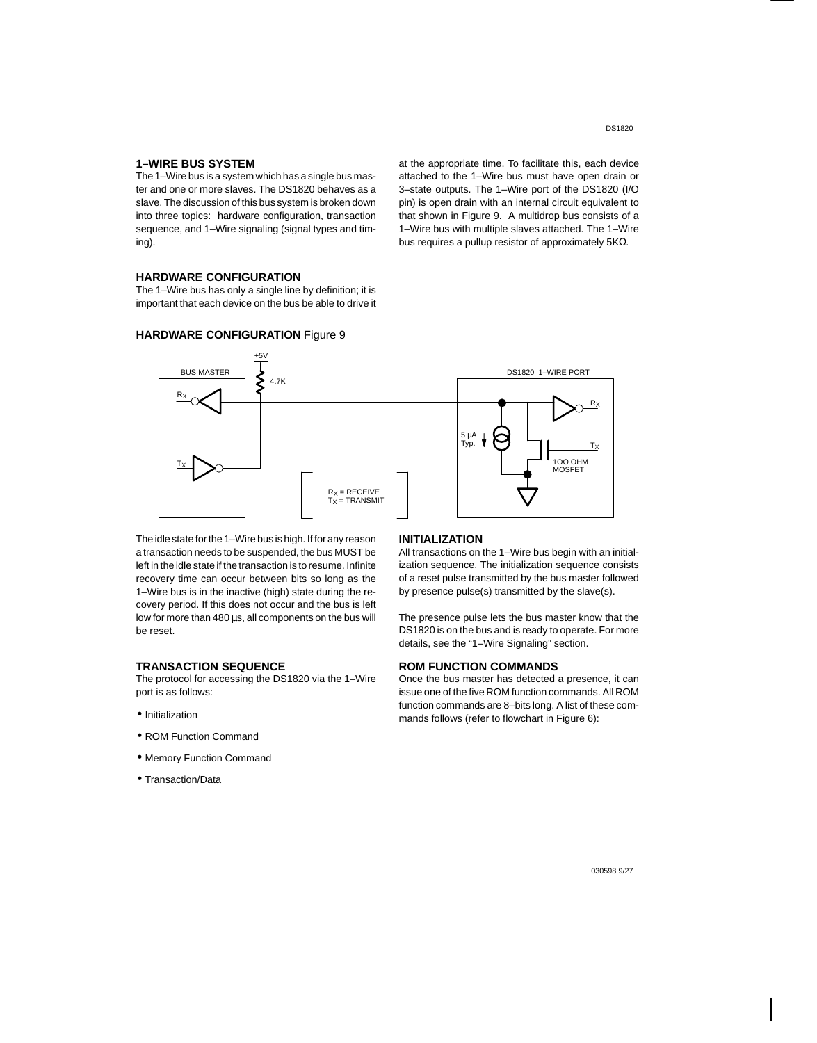#### **1–WIRE BUS SYSTEM**

The 1–Wire bus is a system which has a single bus master and one or more slaves. The DS1820 behaves as a slave. The discussion of this bus system is broken down into three topics: hardware configuration, transaction sequence, and 1–Wire signaling (signal types and timing).

at the appropriate time. To facilitate this, each device attached to the 1–Wire bus must have open drain or 3–state outputs. The 1–Wire port of the DS1820 (I/O pin) is open drain with an internal circuit equivalent to that shown in Figure 9. A multidrop bus consists of a 1–Wire bus with multiple slaves attached. The 1–Wire bus requires a pullup resistor of approximately 5KΩ.

## **HARDWARE CONFIGURATION**

The 1–Wire bus has only a single line by definition; it is important that each device on the bus be able to drive it

## **HARDWARE CONFIGURATION** Figure 9



The idle state for the 1–Wire bus is high. If for any reason a transaction needs to be suspended, the bus MUST be left in the idle state if the transaction is to resume. Infinite recovery time can occur between bits so long as the 1–Wire bus is in the inactive (high) state during the recovery period. If this does not occur and the bus is left low for more than 480 µs, all components on the bus will be reset.

#### **TRANSACTION SEQUENCE**

The protocol for accessing the DS1820 via the 1–Wire port is as follows:

- Initialization
- ROM Function Command
- Memory Function Command
- Transaction/Data

#### **INITIALIZATION**

All transactions on the 1–Wire bus begin with an initialization sequence. The initialization sequence consists of a reset pulse transmitted by the bus master followed by presence pulse(s) transmitted by the slave(s).

The presence pulse lets the bus master know that the DS1820 is on the bus and is ready to operate. For more details, see the "1–Wire Signaling" section.

#### **ROM FUNCTION COMMANDS**

Once the bus master has detected a presence, it can issue one of the five ROM function commands. All ROM function commands are 8–bits long. A list of these commands follows (refer to flowchart in Figure 6):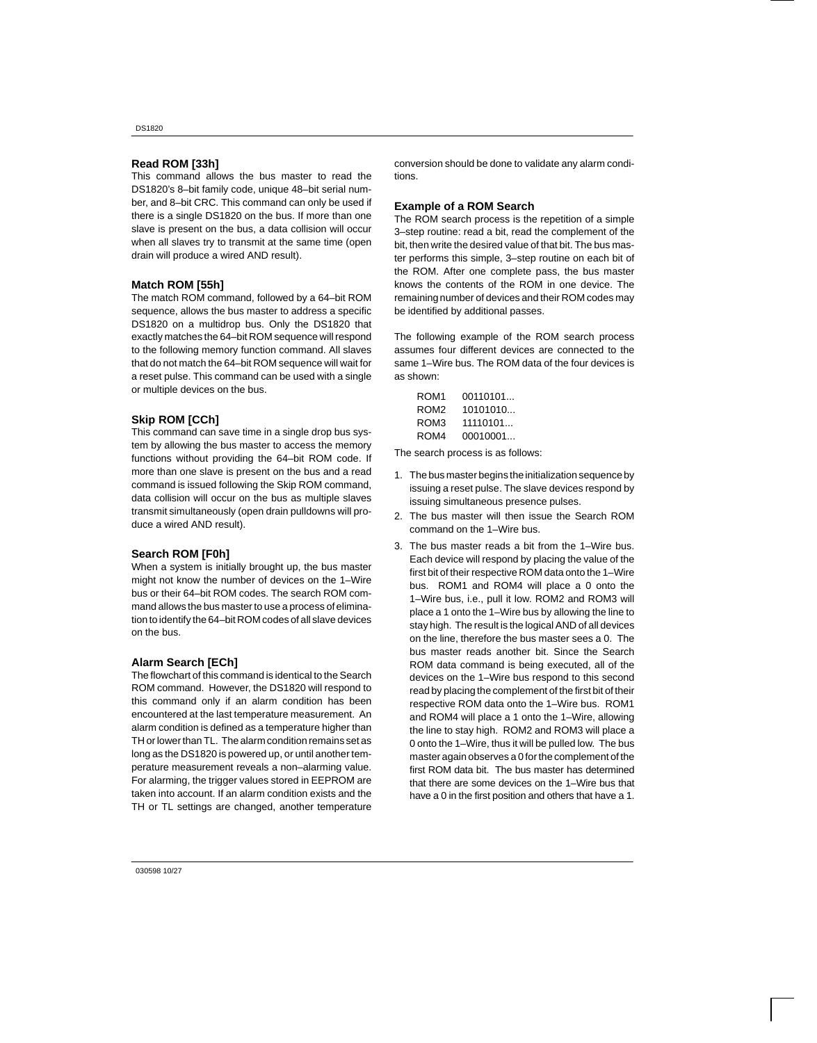### **Read ROM [33h]**

This command allows the bus master to read the DS1820's 8–bit family code, unique 48–bit serial number, and 8–bit CRC. This command can only be used if there is a single DS1820 on the bus. If more than one slave is present on the bus, a data collision will occur when all slaves try to transmit at the same time (open drain will produce a wired AND result).

#### **Match ROM [55h]**

The match ROM command, followed by a 64–bit ROM sequence, allows the bus master to address a specific DS1820 on a multidrop bus. Only the DS1820 that exactly matches the 64–bit ROM sequence will respond to the following memory function command. All slaves that do not match the 64–bit ROM sequence will wait for a reset pulse. This command can be used with a single or multiple devices on the bus.

#### **Skip ROM [CCh]**

This command can save time in a single drop bus system by allowing the bus master to access the memory functions without providing the 64–bit ROM code. If more than one slave is present on the bus and a read command is issued following the Skip ROM command, data collision will occur on the bus as multiple slaves transmit simultaneously (open drain pulldowns will produce a wired AND result).

#### **Search ROM [F0h]**

When a system is initially brought up, the bus master might not know the number of devices on the 1–Wire bus or their 64–bit ROM codes. The search ROM command allows the bus master to use a process of elimination to identify the 64–bit ROM codes of all slave devices on the bus.

#### **Alarm Search [ECh]**

The flowchart of this command is identical to the Search ROM command. However, the DS1820 will respond to this command only if an alarm condition has been encountered at the last temperature measurement. An alarm condition is defined as a temperature higher than TH or lower than TL. The alarm condition remains set as long as the DS1820 is powered up, or until another temperature measurement reveals a non–alarming value. For alarming, the trigger values stored in EEPROM are taken into account. If an alarm condition exists and the TH or TL settings are changed, another temperature

conversion should be done to validate any alarm conditions.

#### **Example of a ROM Search**

The ROM search process is the repetition of a simple 3–step routine: read a bit, read the complement of the bit, then write the desired value of that bit. The bus master performs this simple, 3–step routine on each bit of the ROM. After one complete pass, the bus master knows the contents of the ROM in one device. The remaining number of devices and their ROM codes may be identified by additional passes.

The following example of the ROM search process assumes four different devices are connected to the same 1–Wire bus. The ROM data of the four devices is as shown:

| ROM <sub>1</sub> | 00110101 |
|------------------|----------|
| ROM <sub>2</sub> | 10101010 |
| ROM3             | 11110101 |
| ROM4             | 00010001 |

The search process is as follows:

- 1. The bus master begins the initialization sequence by issuing a reset pulse. The slave devices respond by issuing simultaneous presence pulses.
- 2. The bus master will then issue the Search ROM command on the 1–Wire bus.
- 3. The bus master reads a bit from the 1–Wire bus. Each device will respond by placing the value of the first bit of their respective ROM data onto the 1–Wire bus. ROM1 and ROM4 will place a 0 onto the 1–Wire bus, i.e., pull it low. ROM2 and ROM3 will place a 1 onto the 1–Wire bus by allowing the line to stay high. The result is the logical AND of all devices on the line, therefore the bus master sees a 0. The bus master reads another bit. Since the Search ROM data command is being executed, all of the devices on the 1–Wire bus respond to this second read by placing the complement of the first bit of their respective ROM data onto the 1–Wire bus. ROM1 and ROM4 will place a 1 onto the 1–Wire, allowing the line to stay high. ROM2 and ROM3 will place a 0 onto the 1–Wire, thus it will be pulled low. The bus master again observes a 0 for the complement of the first ROM data bit. The bus master has determined that there are some devices on the 1–Wire bus that have a 0 in the first position and others that have a 1.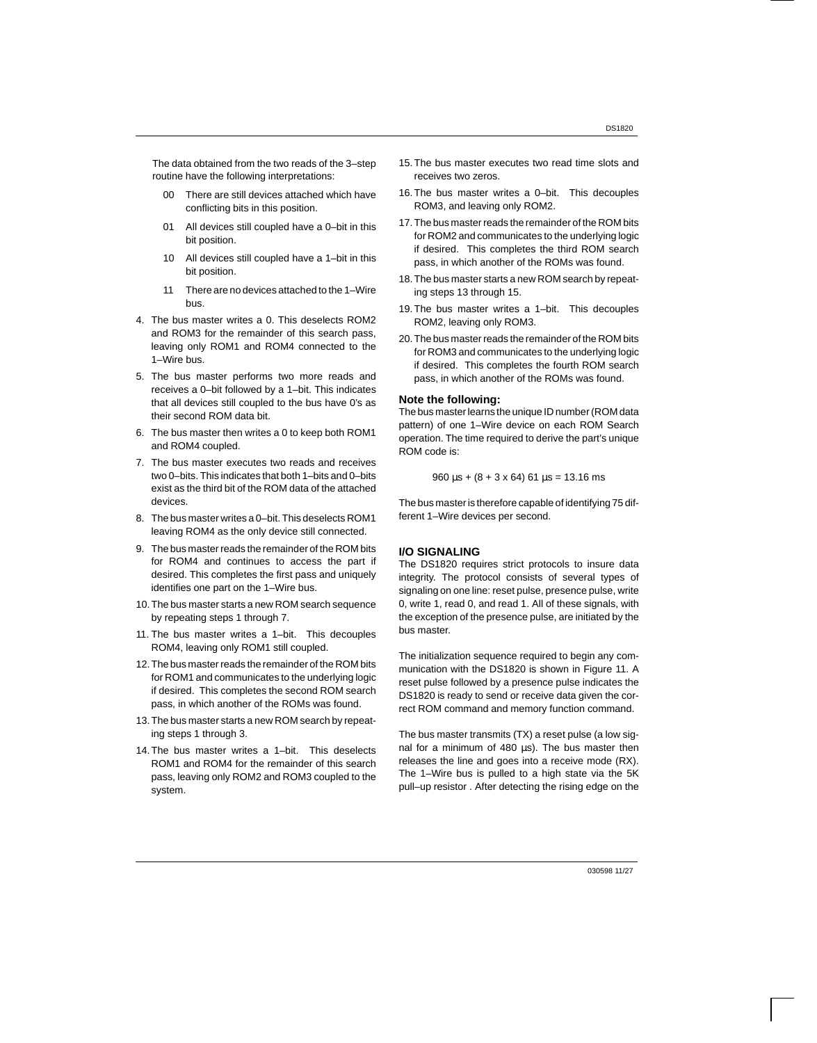The data obtained from the two reads of the 3–step routine have the following interpretations:

- 00 There are still devices attached which have conflicting bits in this position.
- 01 All devices still coupled have a 0–bit in this bit position.
- 10 All devices still coupled have a 1–bit in this bit position.
- 11 There are no devices attached to the 1–Wire bus.
- 4. The bus master writes a 0. This deselects ROM2 and ROM3 for the remainder of this search pass, leaving only ROM1 and ROM4 connected to the 1–Wire bus.
- 5. The bus master performs two more reads and receives a 0–bit followed by a 1–bit. This indicates that all devices still coupled to the bus have 0's as their second ROM data bit.
- 6. The bus master then writes a 0 to keep both ROM1 and ROM4 coupled.
- 7. The bus master executes two reads and receives two 0–bits. This indicates that both 1–bits and 0–bits exist as the third bit of the ROM data of the attached devices.
- 8. The bus master writes a 0–bit. This deselects ROM1 leaving ROM4 as the only device still connected.
- 9. The bus master reads the remainder of the ROM bits for ROM4 and continues to access the part if desired. This completes the first pass and uniquely identifies one part on the 1–Wire bus.
- 10. The bus master starts a new ROM search sequence by repeating steps 1 through 7.
- 11. The bus master writes a 1–bit. This decouples ROM4, leaving only ROM1 still coupled.
- 12. The bus master reads the remainder of the ROM bits for ROM1 and communicates to the underlying logic if desired. This completes the second ROM search pass, in which another of the ROMs was found.
- 13. The bus master starts a new ROM search by repeating steps 1 through 3.
- 14. The bus master writes a 1–bit. This deselects ROM1 and ROM4 for the remainder of this search pass, leaving only ROM2 and ROM3 coupled to the system.
- 15. The bus master executes two read time slots and receives two zeros.
- 16. The bus master writes a 0–bit. This decouples ROM3, and leaving only ROM2.
- 17. The bus master reads the remainder of the ROM bits for ROM2 and communicates to the underlying logic if desired. This completes the third ROM search pass, in which another of the ROMs was found.
- 18. The bus master starts a new ROM search by repeating steps 13 through 15.
- 19. The bus master writes a 1–bit. This decouples ROM2, leaving only ROM3.
- 20. The bus master reads the remainder of the ROM bits for ROM3 and communicates to the underlying logic if desired. This completes the fourth ROM search pass, in which another of the ROMs was found.

#### **Note the following:**

The bus master learns the unique ID number (ROM data pattern) of one 1–Wire device on each ROM Search operation. The time required to derive the part's unique ROM code is:

 $960 \,\mu s + (8 + 3 \times 64) \,61 \,\mu s = 13.16 \,\text{ms}$ 

The bus master is therefore capable of identifying 75 different 1–Wire devices per second.

### **I/O SIGNALING**

The DS1820 requires strict protocols to insure data integrity. The protocol consists of several types of signaling on one line: reset pulse, presence pulse, write 0, write 1, read 0, and read 1. All of these signals, with the exception of the presence pulse, are initiated by the bus master.

The initialization sequence required to begin any communication with the DS1820 is shown in Figure 11. A reset pulse followed by a presence pulse indicates the DS1820 is ready to send or receive data given the correct ROM command and memory function command.

The bus master transmits (TX) a reset pulse (a low signal for a minimum of 480 us). The bus master then releases the line and goes into a receive mode (RX). The 1–Wire bus is pulled to a high state via the 5K pull–up resistor . After detecting the rising edge on the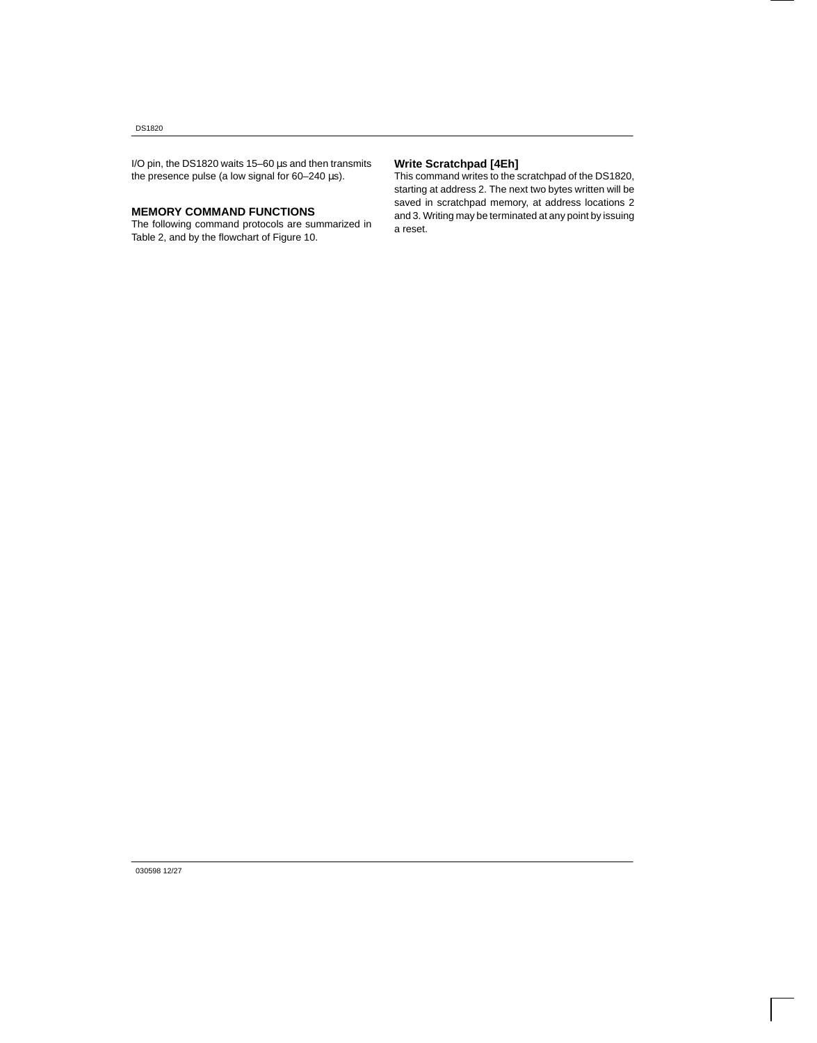I/O pin, the DS1820 waits 15–60 µs and then transmits the presence pulse (a low signal for 60–240 µs).

## **MEMORY COMMAND FUNCTIONS**

The following command protocols are summarized in Table 2, and by the flowchart of Figure 10.

## **Write Scratchpad [4Eh]**

This command writes to the scratchpad of the DS1820, starting at address 2. The next two bytes written will be saved in scratchpad memory, at address locations 2 and 3. Writing may be terminated at any point by issuing a reset.

030598 12/27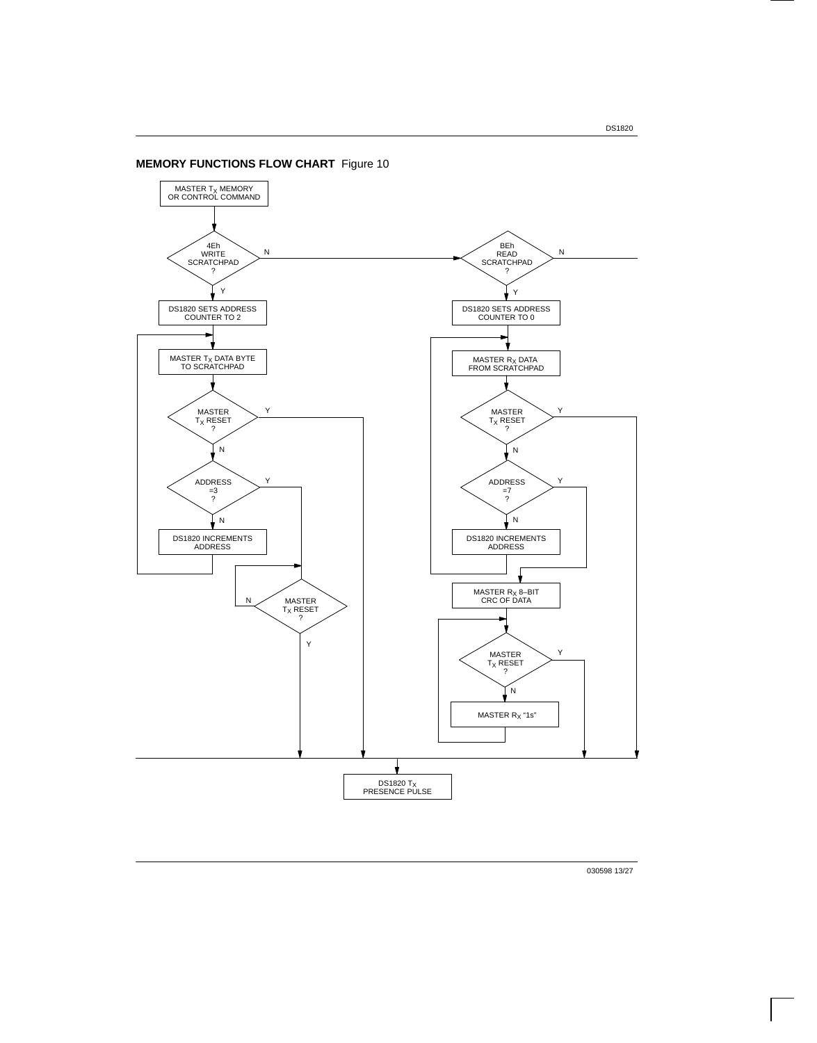DS1820

## **MEMORY FUNCTIONS FLOW CHART** Figure 10



030598 13/27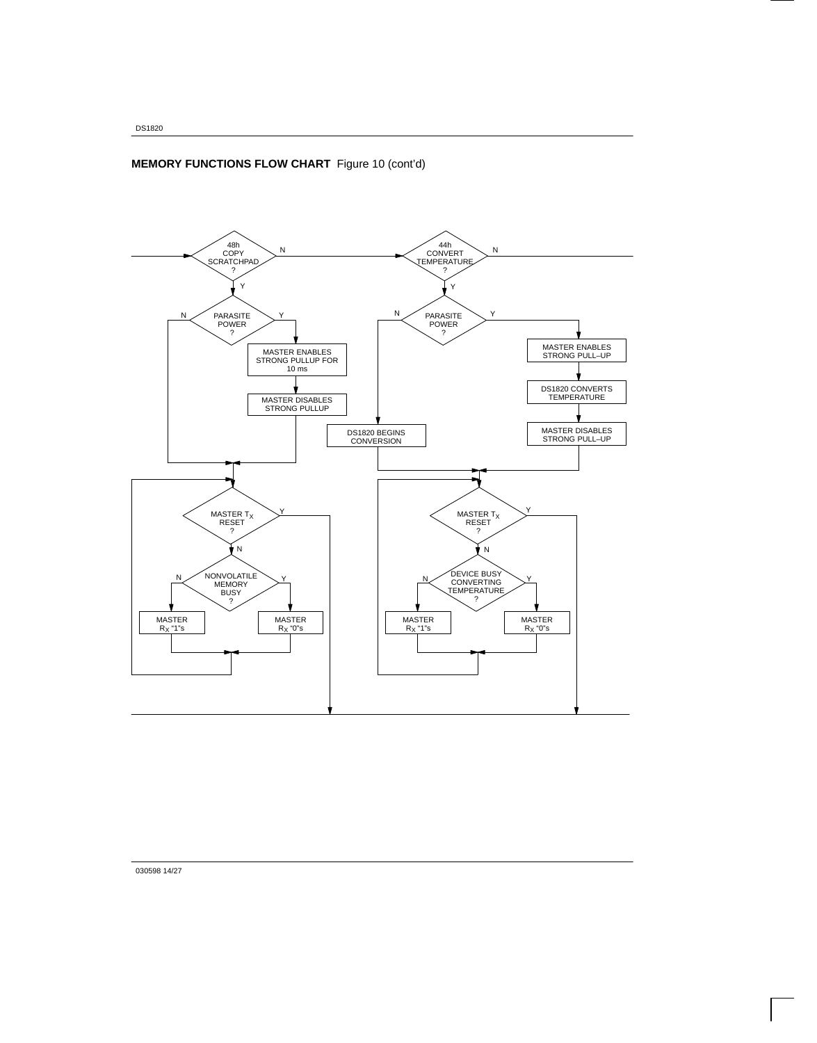## **MEMORY FUNCTIONS FLOW CHART** Figure 10 (cont'd)



030598 14/27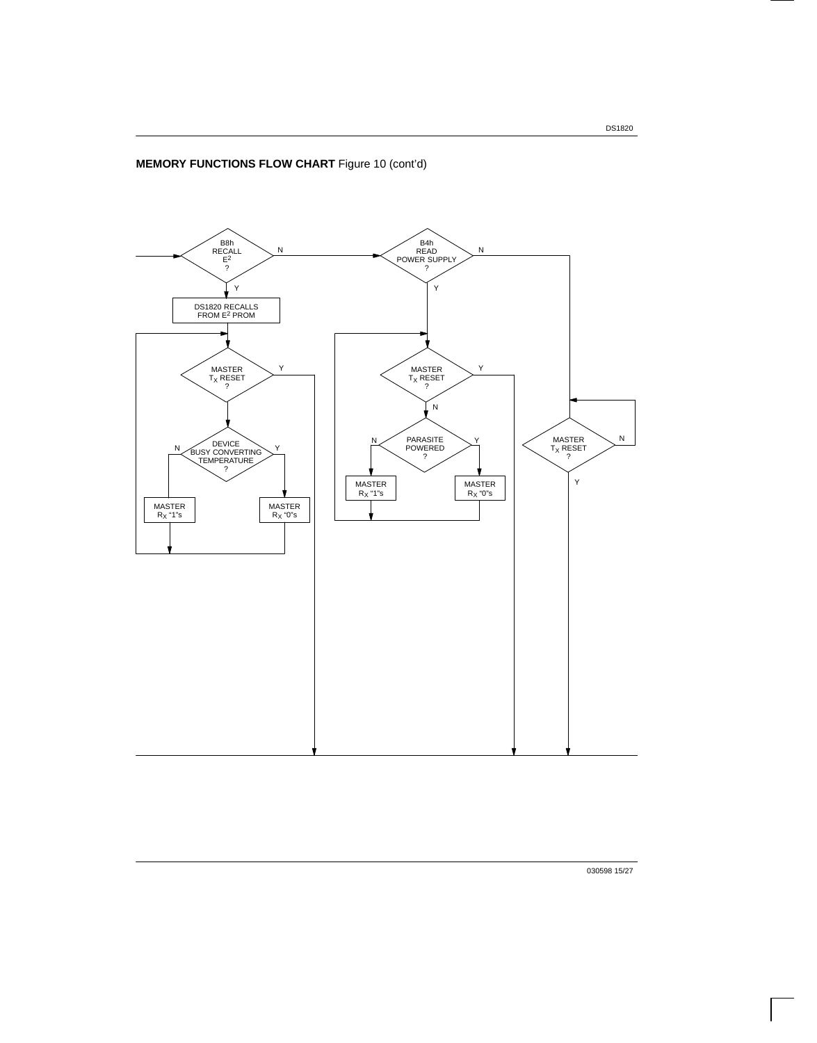

030598 15/27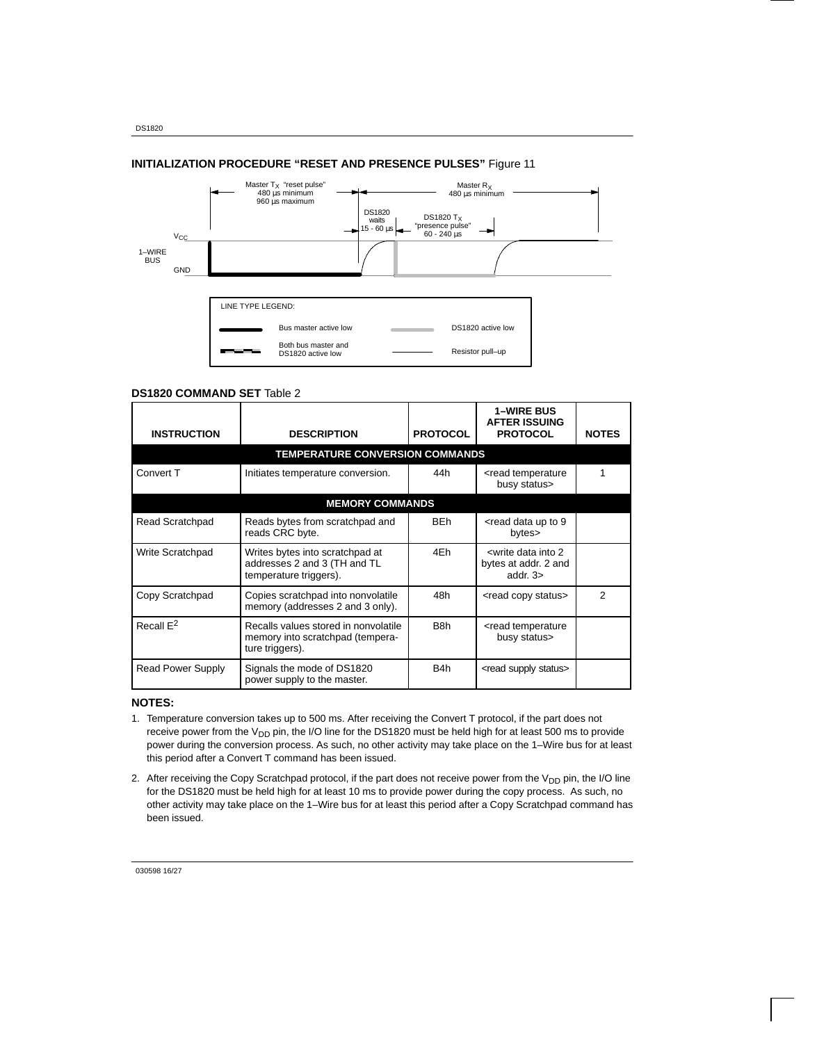## **INITIALIZATION PROCEDURE "RESET AND PRESENCE PULSES"** Figure 11



#### **DS1820 COMMAND SET** Table 2

| <b>INSTRUCTION</b>    | <b>DESCRIPTION</b>                                                                          | <b>PROTOCOL</b>  | <b>1–WIRE BUS</b><br><b>AFTER ISSUING</b><br><b>PROTOCOL</b>                             | <b>NOTES</b> |
|-----------------------|---------------------------------------------------------------------------------------------|------------------|------------------------------------------------------------------------------------------|--------------|
|                       | <b>TEMPERATURE CONVERSION COMMANDS</b>                                                      |                  |                                                                                          |              |
| Convert T             | Initiates temperature conversion.                                                           |                  | <read temperature<br="">busy status&gt;</read>                                           |              |
|                       | <b>MEMORY COMMANDS</b>                                                                      |                  |                                                                                          |              |
| Read Scratchpad       | Reads bytes from scratchpad and<br>reads CRC byte.                                          | <b>BEh</b>       | $\le$ read data up to 9<br>bytes>                                                        |              |
| Write Scratchpad      | Writes bytes into scratchpad at<br>addresses 2 and 3 (TH and TL<br>temperature triggers).   | 4Eh              | <write 2<br="" data="" into="">bytes at addr. 2 and<br/>addr. <math>3\geq</math></write> |              |
| Copy Scratchpad       | Copies scratchpad into nonvolatile<br>memory (addresses 2 and 3 only).                      |                  | <read copy="" status=""></read>                                                          | 2            |
| Recall E <sup>2</sup> | Recalls values stored in nonvolatile<br>memory into scratchpad (tempera-<br>ture triggers). | B <sub>8</sub> h | <read temperature<br="">busy status&gt;</read>                                           |              |
| Read Power Supply     | Signals the mode of DS1820<br>power supply to the master.                                   | B4h              | <read status="" supply=""></read>                                                        |              |

## **NOTES:**

- 1. Temperature conversion takes up to 500 ms. After receiving the Convert T protocol, if the part does not receive power from the  $V_{DD}$  pin, the I/O line for the DS1820 must be held high for at least 500 ms to provide power during the conversion process. As such, no other activity may take place on the 1–Wire bus for at least this period after a Convert T command has been issued.
- 2. After receiving the Copy Scratchpad protocol, if the part does not receive power from the V<sub>DD</sub> pin, the I/O line for the DS1820 must be held high for at least 10 ms to provide power during the copy process. As such, no other activity may take place on the 1–Wire bus for at least this period after a Copy Scratchpad command has been issued.

030598 16/27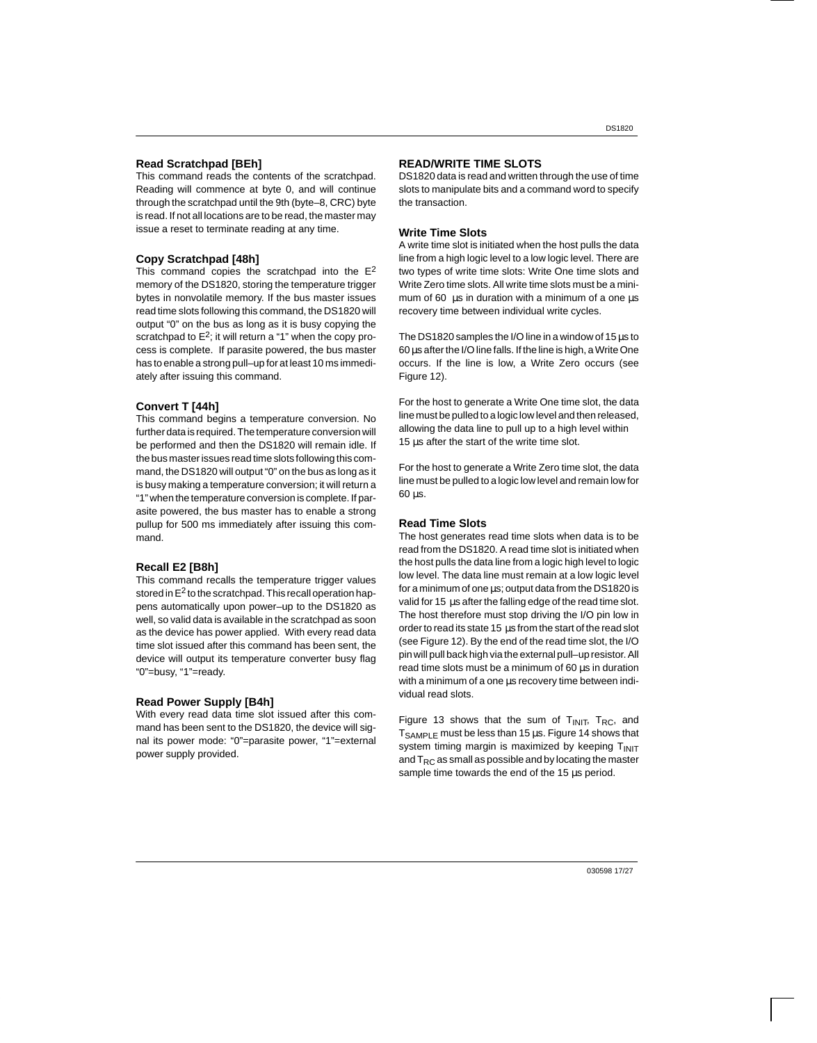#### **Read Scratchpad [BEh]**

This command reads the contents of the scratchpad. Reading will commence at byte 0, and will continue through the scratchpad until the 9th (byte–8, CRC) byte is read. If not all locations are to be read, the master may issue a reset to terminate reading at any time.

#### **Copy Scratchpad [48h]**

This command copies the scratchpad into the  $E<sup>2</sup>$ memory of the DS1820, storing the temperature trigger bytes in nonvolatile memory. If the bus master issues read time slots following this command, the DS1820 will output "0" on the bus as long as it is busy copying the scratchpad to  $E^2$ ; it will return a "1" when the copy process is complete. If parasite powered, the bus master has to enable a strong pull–up for at least 10 ms immediately after issuing this command.

### **Convert T [44h]**

This command begins a temperature conversion. No further data is required. The temperature conversion will be performed and then the DS1820 will remain idle. If the bus master issues read time slots following this command, the DS1820 will output "0" on the bus as long as it is busy making a temperature conversion; it will return a "1" when the temperature conversion is complete. If parasite powered, the bus master has to enable a strong pullup for 500 ms immediately after issuing this command.

#### **Recall E2 [B8h]**

This command recalls the temperature trigger values stored in  $E^2$  to the scratchpad. This recall operation happens automatically upon power–up to the DS1820 as well, so valid data is available in the scratchpad as soon as the device has power applied. With every read data time slot issued after this command has been sent, the device will output its temperature converter busy flag "0"=busy, "1"=ready.

#### **Read Power Supply [B4h]**

With every read data time slot issued after this command has been sent to the DS1820, the device will signal its power mode: "0"=parasite power, "1"=external power supply provided.

#### **READ/WRITE TIME SLOTS**

DS1820 data is read and written through the use of time slots to manipulate bits and a command word to specify the transaction.

#### **Write Time Slots**

A write time slot is initiated when the host pulls the data line from a high logic level to a low logic level. There are two types of write time slots: Write One time slots and Write Zero time slots. All write time slots must be a minimum of 60  $\,\mu$ s in duration with a minimum of a one  $\mu$ s recovery time between individual write cycles.

The DS1820 samples the I/O line in a window of 15 µs to 60 µs after the I/O line falls. If the line is high, a Write One occurs. If the line is low, a Write Zero occurs (see Figure 12).

For the host to generate a Write One time slot, the data line must be pulled to a logic low level and then released, allowing the data line to pull up to a high level within 15 µs after the start of the write time slot.

For the host to generate a Write Zero time slot, the data line must be pulled to a logic low level and remain low for 60 µs.

#### **Read Time Slots**

The host generates read time slots when data is to be read from the DS1820. A read time slot is initiated when the host pulls the data line from a logic high level to logic low level. The data line must remain at a low logic level for a minimum of one µs; output data from the DS1820 is valid for 15 us after the falling edge of the read time slot. The host therefore must stop driving the I/O pin low in order to read its state 15 µs from the start of the read slot (see Figure 12). By the end of the read time slot, the I/O pin will pull back high via the external pull–up resistor. All read time slots must be a minimum of 60 µs in duration with a minimum of a one us recovery time between individual read slots.

Figure 13 shows that the sum of  $T<sub>INIT</sub>$ ,  $T<sub>RC</sub>$ , and  $T_{SAMPLE}$  must be less than 15  $\mu$ s. Figure 14 shows that system timing margin is maximized by keeping  $T_{\text{INIT}}$ and  $T_{RC}$  as small as possible and by locating the master sample time towards the end of the 15  $\mu$ s period.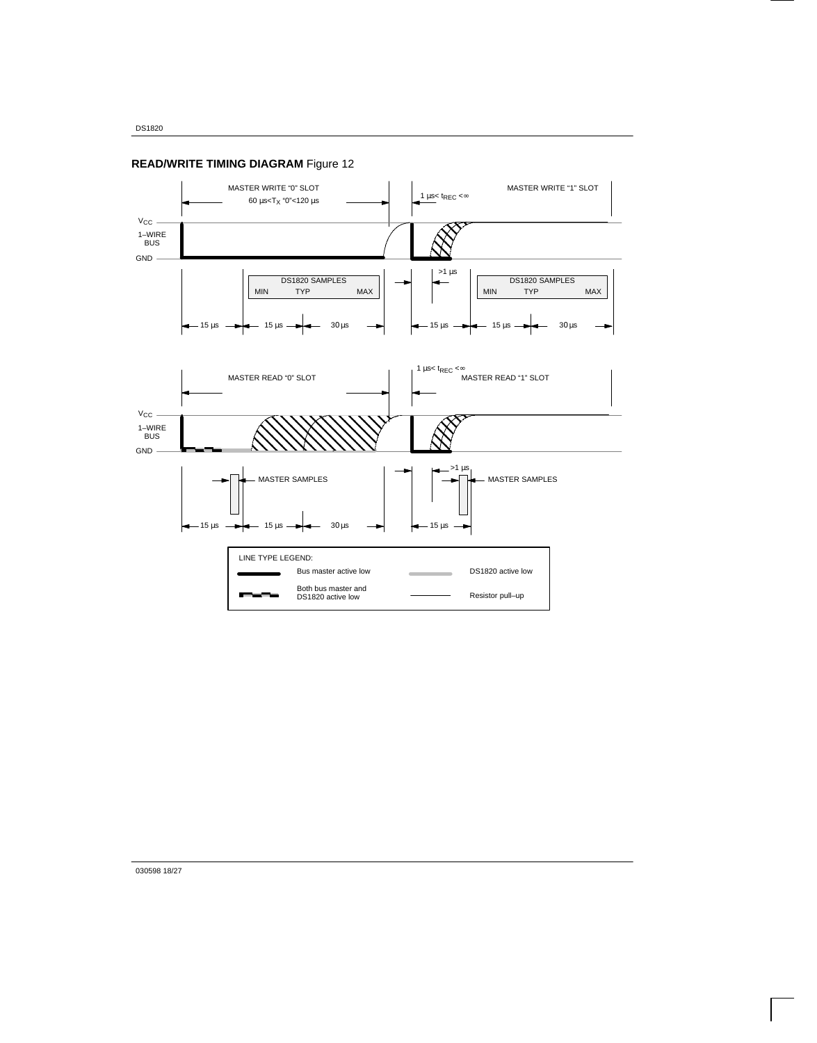

**READ/WRITE TIMING DIAGRAM** Figure 12

030598 18/27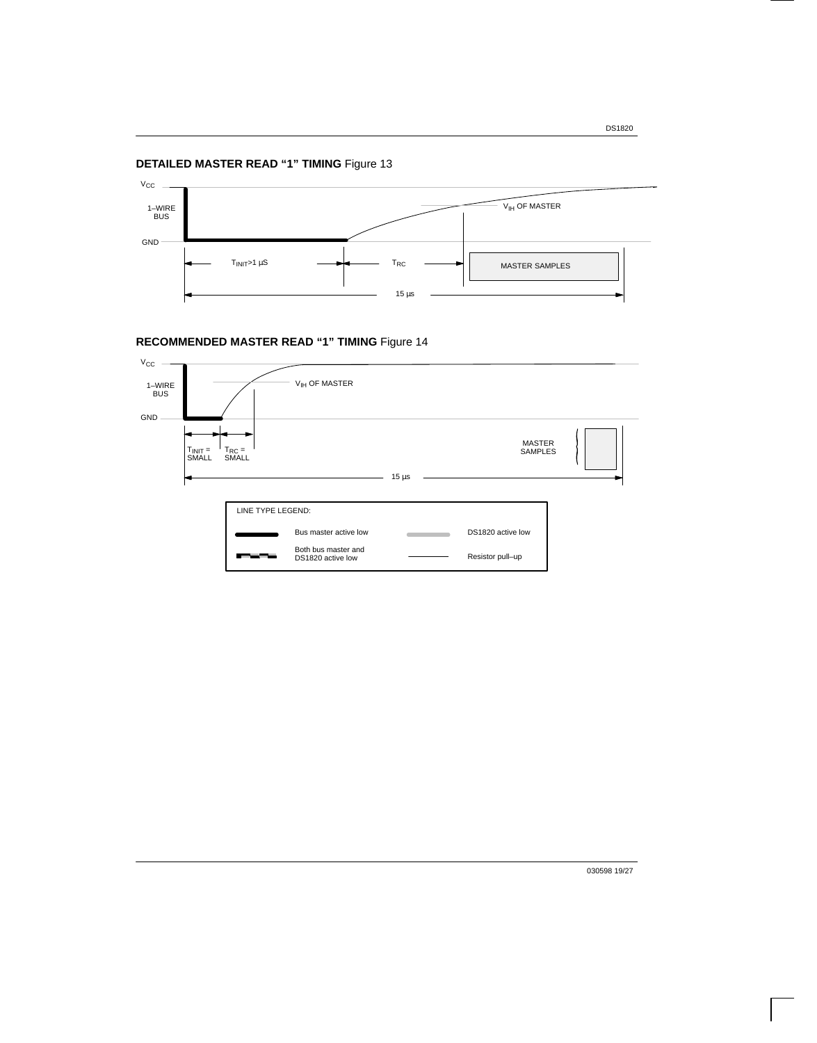## **DETAILED MASTER READ "1" TIMING** Figure 13



## **RECOMMENDED MASTER READ "1" TIMING** Figure 14



030598 19/27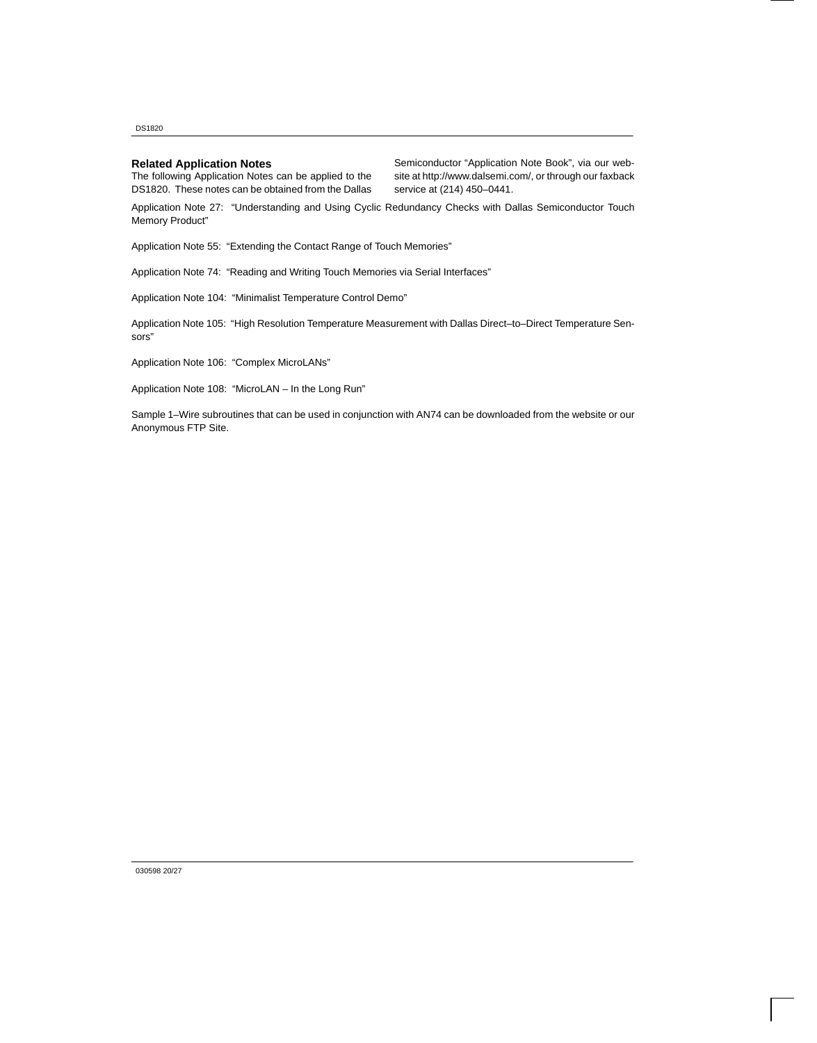DS1820

### **Related Application Notes**

The following Application Notes can be applied to the DS1820. These notes can be obtained from the Dallas Semiconductor "Application Note Book", via our website at http://www.dalsemi.com/, or through our faxback service at (214) 450–0441.

Application Note 27: "Understanding and Using Cyclic Redundancy Checks with Dallas Semiconductor Touch Memory Product"

Application Note 55: "Extending the Contact Range of Touch Memories"

Application Note 74: "Reading and Writing Touch Memories via Serial Interfaces"

Application Note 104: "Minimalist Temperature Control Demo"

Application Note 105: "High Resolution Temperature Measurement with Dallas Direct–to–Direct Temperature Sensors"

Application Note 106: "Complex MicroLANs"

Application Note 108: "MicroLAN – In the Long Run"

Sample 1–Wire subroutines that can be used in conjunction with AN74 can be downloaded from the website or our Anonymous FTP Site.

030598 20/27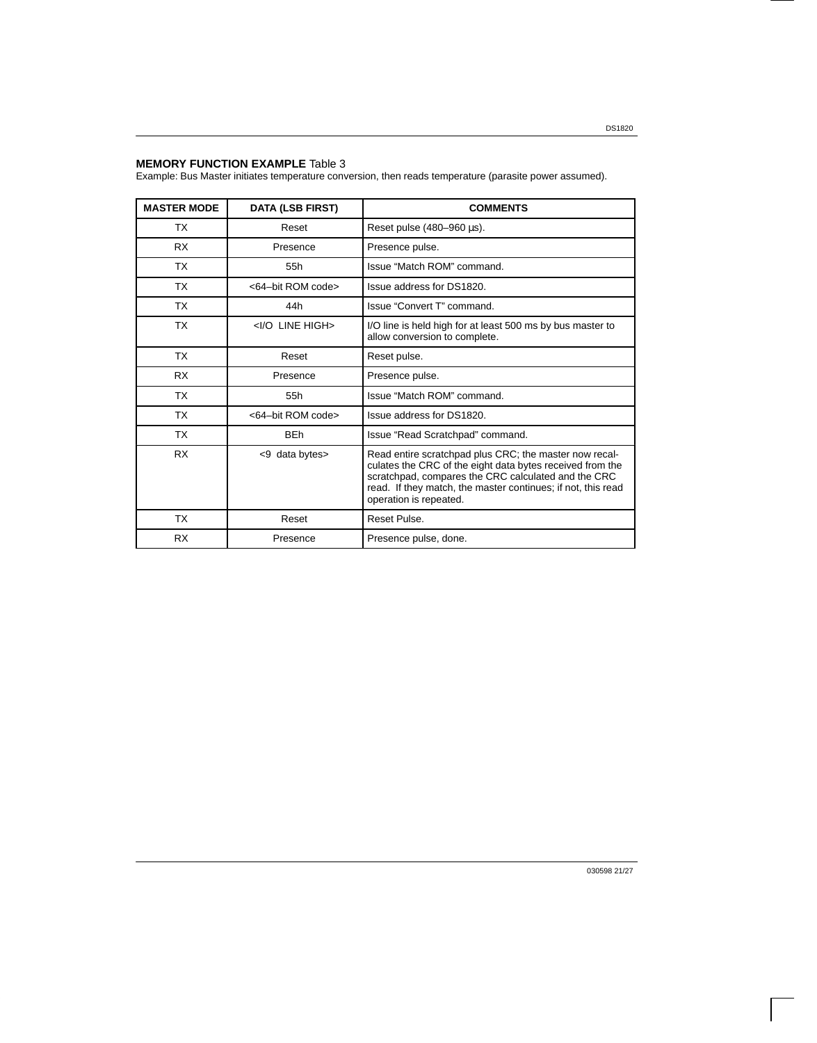### **MEMORY FUNCTION EXAMPLE** Table 3

Example: Bus Master initiates temperature conversion, then reads temperature (parasite power assumed).

| <b>MASTER MODE</b> | <b>DATA (LSB FIRST)</b>      | <b>COMMENTS</b>                                                                                                                                                                                                                                                      |
|--------------------|------------------------------|----------------------------------------------------------------------------------------------------------------------------------------------------------------------------------------------------------------------------------------------------------------------|
| <b>TX</b>          | Reset                        | Reset pulse $(480-960 \,\mu s)$ .                                                                                                                                                                                                                                    |
| <b>RX</b>          | Presence                     | Presence pulse.                                                                                                                                                                                                                                                      |
| <b>TX</b>          | 55h                          | Issue "Match ROM" command.                                                                                                                                                                                                                                           |
| ТX                 | <64-bit ROM code>            | Issue address for DS1820.                                                                                                                                                                                                                                            |
| ТX                 | 44h                          | Issue "Convert T" command.                                                                                                                                                                                                                                           |
| ТX                 | <i high="" line="" o=""></i> | I/O line is held high for at least 500 ms by bus master to<br>allow conversion to complete.                                                                                                                                                                          |
| <b>TX</b>          | Reset                        | Reset pulse.                                                                                                                                                                                                                                                         |
| <b>RX</b>          | Presence                     | Presence pulse.                                                                                                                                                                                                                                                      |
| ТX                 | 55h                          | Issue "Match ROM" command.                                                                                                                                                                                                                                           |
| <b>TX</b>          | <64-bit ROM code>            | Issue address for DS1820.                                                                                                                                                                                                                                            |
| <b>TX</b>          | <b>BEh</b>                   | Issue "Read Scratchpad" command.                                                                                                                                                                                                                                     |
| <b>RX</b>          | <9 data bytes>               | Read entire scratchpad plus CRC; the master now recal-<br>culates the CRC of the eight data bytes received from the<br>scratchpad, compares the CRC calculated and the CRC<br>read. If they match, the master continues; if not, this read<br>operation is repeated. |
| <b>TX</b>          | Reset                        | Reset Pulse.                                                                                                                                                                                                                                                         |
| <b>RX</b>          | Presence                     | Presence pulse, done.                                                                                                                                                                                                                                                |

030598 21/27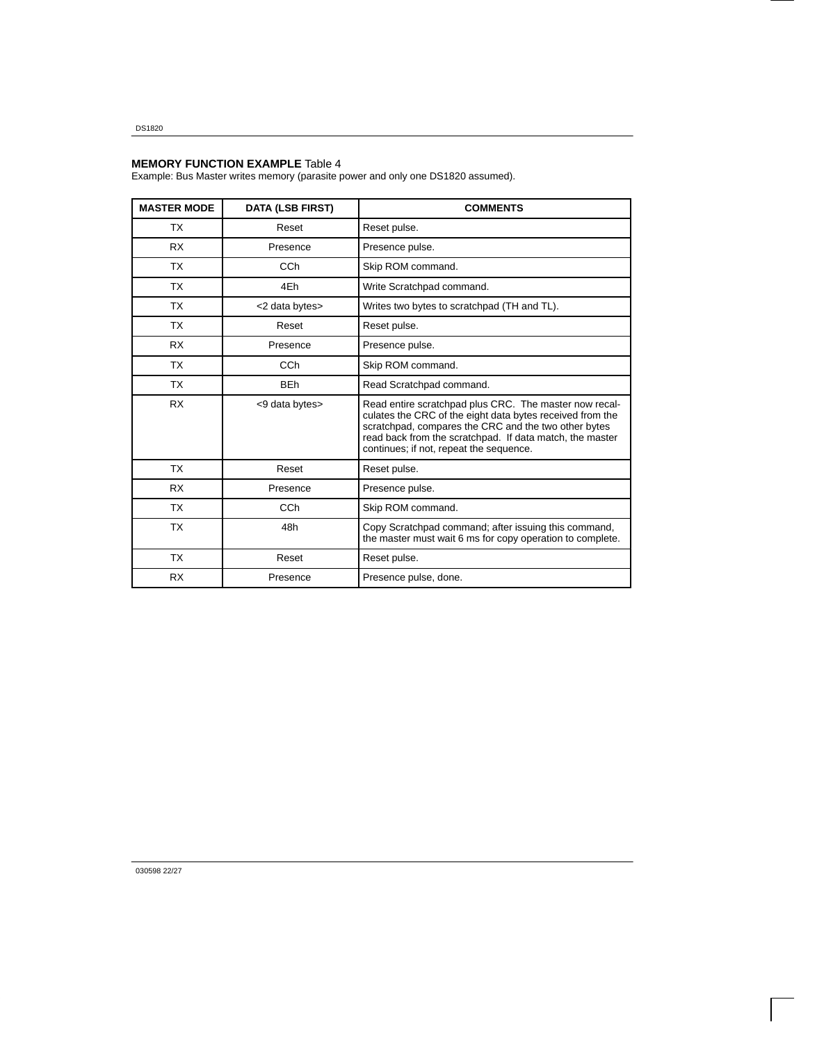DS1820

#### **MEMORY FUNCTION EXAMPLE** Table 4

Example: Bus Master writes memory (parasite power and only one DS1820 assumed).

| <b>MASTER MODE</b> | <b>DATA (LSB FIRST)</b> | <b>COMMENTS</b>                                                                                                                                                                                                                                                                    |
|--------------------|-------------------------|------------------------------------------------------------------------------------------------------------------------------------------------------------------------------------------------------------------------------------------------------------------------------------|
| <b>TX</b>          | Reset                   | Reset pulse.                                                                                                                                                                                                                                                                       |
| <b>RX</b>          | Presence                | Presence pulse.                                                                                                                                                                                                                                                                    |
| TX                 | CCh                     | Skip ROM command.                                                                                                                                                                                                                                                                  |
| <b>TX</b>          | 4Eh                     | Write Scratchpad command.                                                                                                                                                                                                                                                          |
| <b>TX</b>          | <2 data bytes>          | Writes two bytes to scratchpad (TH and TL).                                                                                                                                                                                                                                        |
| <b>TX</b>          | Reset                   | Reset pulse.                                                                                                                                                                                                                                                                       |
| <b>RX</b>          | Presence                | Presence pulse.                                                                                                                                                                                                                                                                    |
| <b>TX</b>          | CCh                     | Skip ROM command.                                                                                                                                                                                                                                                                  |
| <b>TX</b>          | <b>BEh</b>              | Read Scratchpad command.                                                                                                                                                                                                                                                           |
| <b>RX</b>          | <9 data bytes>          | Read entire scratchpad plus CRC. The master now recal-<br>culates the CRC of the eight data bytes received from the<br>scratchpad, compares the CRC and the two other bytes<br>read back from the scratchpad. If data match, the master<br>continues; if not, repeat the sequence. |
| <b>TX</b>          | Reset                   | Reset pulse.                                                                                                                                                                                                                                                                       |
| <b>RX</b>          | Presence                | Presence pulse.                                                                                                                                                                                                                                                                    |
| <b>TX</b>          | CCh                     | Skip ROM command.                                                                                                                                                                                                                                                                  |
| <b>TX</b>          | 48h                     | Copy Scratchpad command; after issuing this command,<br>the master must wait 6 ms for copy operation to complete.                                                                                                                                                                  |
| <b>TX</b>          | Reset                   | Reset pulse.                                                                                                                                                                                                                                                                       |
| <b>RX</b>          | Presence                | Presence pulse, done.                                                                                                                                                                                                                                                              |

030598 22/27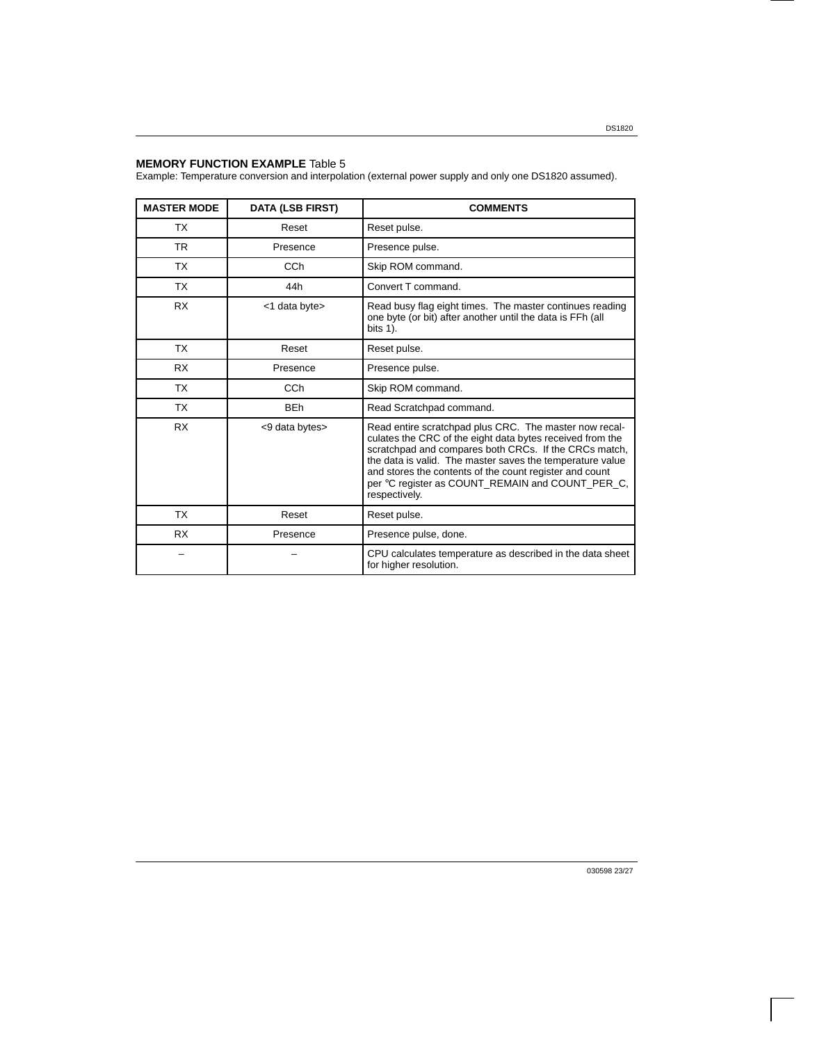## **MEMORY FUNCTION EXAMPLE** Table 5

Example: Temperature conversion and interpolation (external power supply and only one DS1820 assumed).

| <b>MASTER MODE</b> | <b>DATA (LSB FIRST)</b> | <b>COMMENTS</b>                                                                                                                                                                                                                                                                                                                                                           |  |  |
|--------------------|-------------------------|---------------------------------------------------------------------------------------------------------------------------------------------------------------------------------------------------------------------------------------------------------------------------------------------------------------------------------------------------------------------------|--|--|
| <b>TX</b>          | Reset                   | Reset pulse.                                                                                                                                                                                                                                                                                                                                                              |  |  |
| TR.                | Presence                | Presence pulse.                                                                                                                                                                                                                                                                                                                                                           |  |  |
| TX                 | CC <sub>h</sub>         | Skip ROM command.                                                                                                                                                                                                                                                                                                                                                         |  |  |
| <b>TX</b>          | 44h                     | Convert T command.                                                                                                                                                                                                                                                                                                                                                        |  |  |
| <b>RX</b>          | <1 data byte>           | Read busy flag eight times. The master continues reading<br>one byte (or bit) after another until the data is FFh (all<br>bits 1).                                                                                                                                                                                                                                        |  |  |
| TX                 | Reset                   | Reset pulse.                                                                                                                                                                                                                                                                                                                                                              |  |  |
| <b>RX</b>          | Presence                | Presence pulse.                                                                                                                                                                                                                                                                                                                                                           |  |  |
| <b>TX</b>          | CC <sub>h</sub>         | Skip ROM command.                                                                                                                                                                                                                                                                                                                                                         |  |  |
| <b>TX</b>          | <b>BEh</b>              | Read Scratchpad command.                                                                                                                                                                                                                                                                                                                                                  |  |  |
| <b>RX</b>          | <9 data bytes>          | Read entire scratchpad plus CRC. The master now recal-<br>culates the CRC of the eight data bytes received from the<br>scratchpad and compares both CRCs. If the CRCs match,<br>the data is valid. The master saves the temperature value<br>and stores the contents of the count register and count<br>per °C register as COUNT_REMAIN and COUNT_PER_C,<br>respectively. |  |  |
| <b>TX</b>          | Reset                   | Reset pulse.                                                                                                                                                                                                                                                                                                                                                              |  |  |
| <b>RX</b>          | Presence                | Presence pulse, done.                                                                                                                                                                                                                                                                                                                                                     |  |  |
|                    |                         | CPU calculates temperature as described in the data sheet<br>for higher resolution.                                                                                                                                                                                                                                                                                       |  |  |

030598 23/27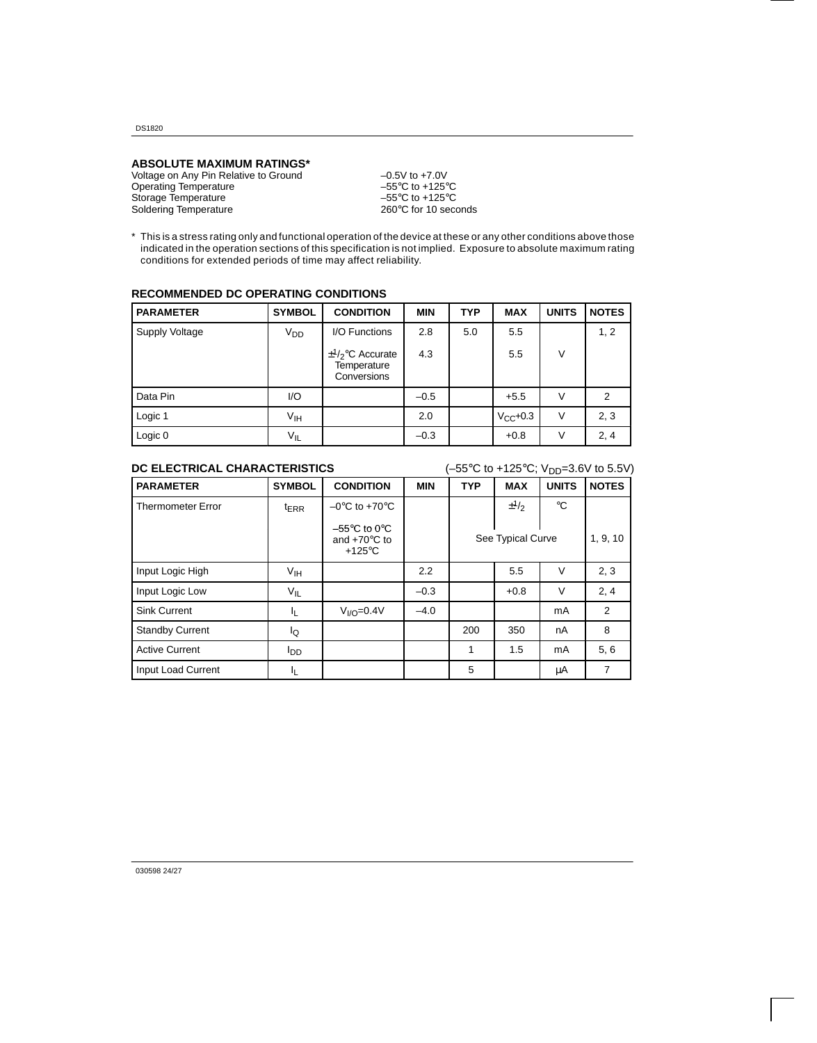DS1820

#### **ABSOLUTE MAXIMUM RATINGS\***

Voltage on Any Pin Relative to Ground –0.5V to +7.0V Operating Temperature  $-55^{\circ}$ C to +125°C<br>Storage Temperature  $-55^{\circ}$ C to +125°C Storage Temperature  $-55^{\circ}$ C to +125°C<br>Soldering Temperature  $260^{\circ}$ C for 10 seconds Soldering Temperature

\* This is a stress rating only and functional operation of the device at these or any other conditions above those indicated in the operation sections of this specification is not implied. Exposure to absolute maximum rating conditions for extended periods of time may affect reliability.

| <b>RECOMMENDED DC OPERATING CONDITIONS</b> |  |  |
|--------------------------------------------|--|--|
|--------------------------------------------|--|--|

| <b>PARAMETER</b> | <b>SYMBOL</b>   | <b>CONDITION</b>                                            | <b>MIN</b> | <b>TYP</b> | <b>MAX</b>    | <b>UNITS</b> | <b>NOTES</b> |
|------------------|-----------------|-------------------------------------------------------------|------------|------------|---------------|--------------|--------------|
| Supply Voltage   | V <sub>DD</sub> | I/O Functions                                               | 2.8        | 5.0        | 5.5           |              | 1, 2         |
|                  |                 | $\pm \frac{1}{2}$ °C Accurate<br>Temperature<br>Conversions | 4.3        |            | 5.5           | $\vee$       |              |
| Data Pin         | 1/O             |                                                             | $-0.5$     |            | $+5.5$        | V            | 2            |
| Logic 1          | V <sub>IH</sub> |                                                             | 2.0        |            | $V_{CC}$ +0.3 | V            | 2, 3         |
| Logic 0          | $V_{IL}$        |                                                             | $-0.3$     |            | $+0.8$        | V            | 2, 4         |

## **DC ELECTRICAL CHARACTERISTICS**  $(-55^{\circ} \text{C to +125}^{\circ} \text{C; V}_{\text{DD}}=3.6 \text{V to 5.5V})$

| <b>PARAMETER</b>         | <b>SYMBOL</b>    | <b>CONDITION</b>                                                                | <b>MIN</b> | <b>TYP</b>        | <b>MAX</b>                        | <b>UNITS</b> | <b>NOTES</b> |
|--------------------------|------------------|---------------------------------------------------------------------------------|------------|-------------------|-----------------------------------|--------------|--------------|
| <b>Thermometer Error</b> | $t_{\text{ERR}}$ | $-0$ °C to +70°C                                                                |            |                   | $\pm$ <sup>1</sup> / <sub>2</sub> | $^{\circ}C$  |              |
|                          |                  | $-55^{\circ}$ C to 0 $^{\circ}$ C<br>and $+70^{\circ}$ C to<br>$+125^{\circ}$ C |            | See Typical Curve |                                   |              | 1, 9, 10     |
| Input Logic High         | V <sub>IH</sub>  |                                                                                 | 2.2        |                   | 5.5                               | $\vee$       | 2, 3         |
| Input Logic Low          | $V_{IL}$         |                                                                                 | $-0.3$     |                   | $+0.8$                            | $\vee$       | 2, 4         |
| <b>Sink Current</b>      | 址                | $VI/O=0.4V$                                                                     | $-4.0$     |                   |                                   | mA           | 2            |
| <b>Standby Current</b>   | lQ               |                                                                                 |            | 200               | 350                               | nA           | 8            |
| <b>Active Current</b>    | l <sub>DD</sub>  |                                                                                 |            | 1                 | 1.5                               | mA           | 5, 6         |
| Input Load Current       | JL.              |                                                                                 |            | 5                 |                                   | μA           | 7            |

030598 24/27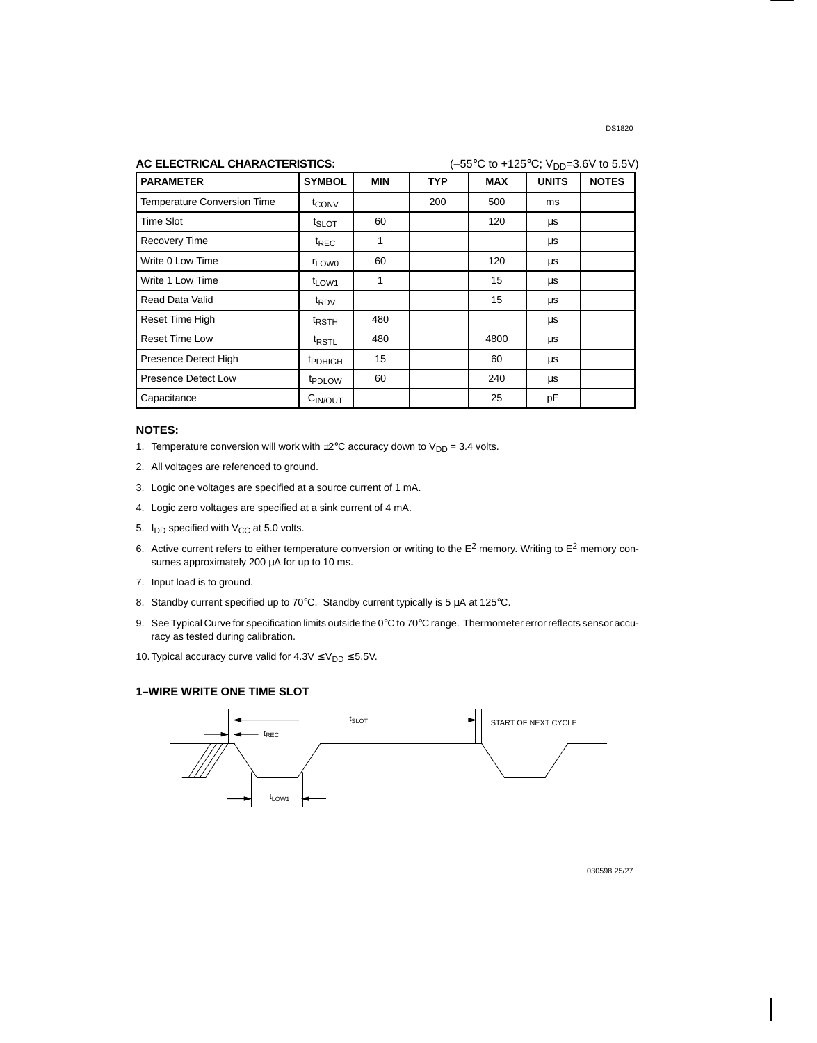| AC ELECTRICAL CHARACTERISTICS:     | $(-55^{\circ}$ C to +125°C; V <sub>DD</sub> =3.6V to 5.5V) |            |            |            |              |              |
|------------------------------------|------------------------------------------------------------|------------|------------|------------|--------------|--------------|
| <b>PARAMETER</b>                   | <b>SYMBOL</b>                                              | <b>MIN</b> | <b>TYP</b> | <b>MAX</b> | <b>UNITS</b> | <b>NOTES</b> |
| <b>Temperature Conversion Time</b> | t <sub>CONV</sub>                                          |            | 200        | 500        | ms           |              |
| Time Slot                          | t <sub>SLOT</sub>                                          | 60         |            | 120        | μs           |              |
| <b>Recovery Time</b>               | <sup>t</sup> REC                                           | 1          |            |            | μs           |              |
| Write 0 Low Time                   | <b>LOW0</b>                                                | 60         |            | 120        | μs           |              |
| Write 1 Low Time                   | t <sub>LOW1</sub>                                          | 1          |            | 15         | μs           |              |
| Read Data Valid                    | <sup>t</sup> RDV                                           |            |            | 15         | μs           |              |
| <b>Reset Time High</b>             | <sup>t</sup> rsth                                          | 480        |            |            | μs           |              |
| <b>Reset Time Low</b>              | t <sub>RSTL</sub>                                          | 480        |            | 4800       | μs           |              |
| Presence Detect High               | <sup>t</sup> PDHIGH                                        | 15         |            | 60         | μs           |              |
| <b>Presence Detect Low</b>         | t <sub>PDLOW</sub>                                         | 60         |            | 240        | μs           |              |
| Capacitance                        | $C_{IN/OUT}$                                               |            |            | 25         | pF           |              |

### **NOTES:**

- 1. Temperature conversion will work with  $\pm 2^{\circ}$ C accuracy down to  $V_{DD} = 3.4$  volts.
- 2. All voltages are referenced to ground.
- 3. Logic one voltages are specified at a source current of 1 mA.
- 4. Logic zero voltages are specified at a sink current of 4 mA.
- 5.  $I_{DD}$  specified with  $V_{CC}$  at 5.0 volts.
- 6. Active current refers to either temperature conversion or writing to the  $E^2$  memory. Writing to  $E^2$  memory consumes approximately 200 µA for up to 10 ms.
- 7. Input load is to ground.
- 8. Standby current specified up to 70°C. Standby current typically is 5  $\mu$ A at 125°C.
- 9. See Typical Curve for specification limits outside the 0°C to 70°C range. Thermometer error reflects sensor accuracy as tested during calibration.
- 10. Typical accuracy curve valid for  $4.3V \leq V_{DD} \leq 5.5V$ .

## **1–WIRE WRITE ONE TIME SLOT**



030598 25/27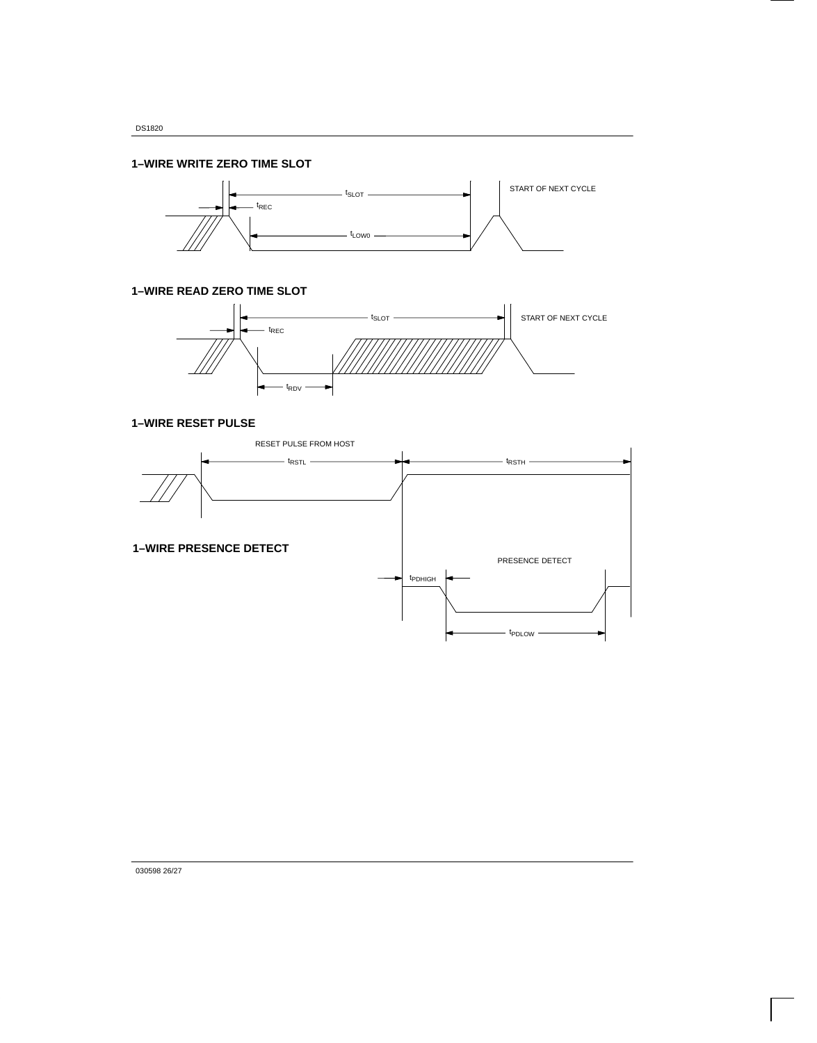## **1–WIRE WRITE ZERO TIME SLOT**



**1–WIRE READ ZERO TIME SLOT**



## **1–WIRE RESET PULSE**



030598 26/27